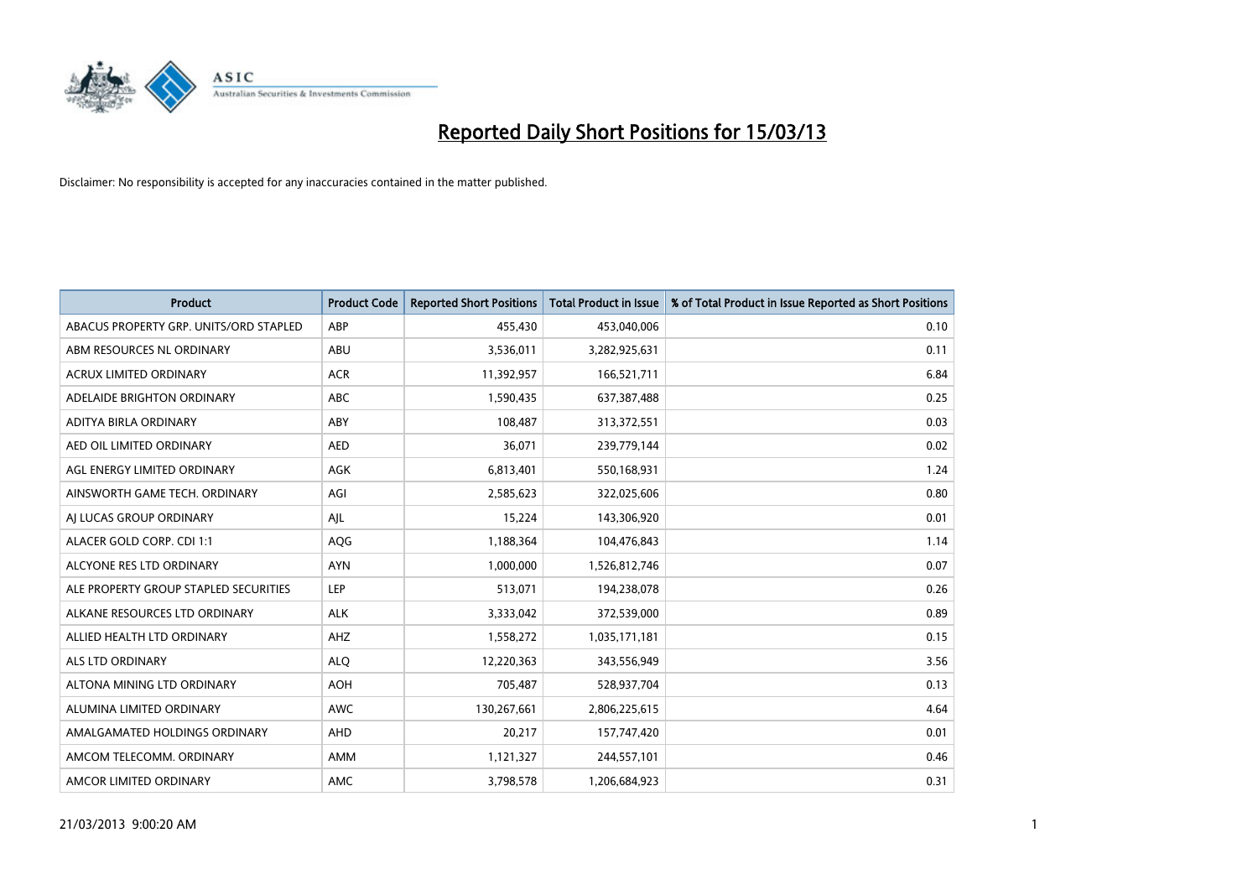

| <b>Product</b>                         | <b>Product Code</b> | <b>Reported Short Positions</b> | <b>Total Product in Issue</b> | % of Total Product in Issue Reported as Short Positions |
|----------------------------------------|---------------------|---------------------------------|-------------------------------|---------------------------------------------------------|
| ABACUS PROPERTY GRP. UNITS/ORD STAPLED | ABP                 | 455.430                         | 453,040,006                   | 0.10                                                    |
| ABM RESOURCES NL ORDINARY              | ABU                 | 3,536,011                       | 3,282,925,631                 | 0.11                                                    |
| <b>ACRUX LIMITED ORDINARY</b>          | <b>ACR</b>          | 11,392,957                      | 166,521,711                   | 6.84                                                    |
| ADELAIDE BRIGHTON ORDINARY             | <b>ABC</b>          | 1,590,435                       | 637,387,488                   | 0.25                                                    |
| ADITYA BIRLA ORDINARY                  | ABY                 | 108,487                         | 313,372,551                   | 0.03                                                    |
| AED OIL LIMITED ORDINARY               | <b>AED</b>          | 36,071                          | 239,779,144                   | 0.02                                                    |
| AGL ENERGY LIMITED ORDINARY            | AGK                 | 6,813,401                       | 550,168,931                   | 1.24                                                    |
| AINSWORTH GAME TECH. ORDINARY          | AGI                 | 2,585,623                       | 322,025,606                   | 0.80                                                    |
| AI LUCAS GROUP ORDINARY                | AJL                 | 15,224                          | 143,306,920                   | 0.01                                                    |
| ALACER GOLD CORP. CDI 1:1              | AQG                 | 1,188,364                       | 104,476,843                   | 1.14                                                    |
| ALCYONE RES LTD ORDINARY               | <b>AYN</b>          | 1,000,000                       | 1,526,812,746                 | 0.07                                                    |
| ALE PROPERTY GROUP STAPLED SECURITIES  | LEP                 | 513,071                         | 194,238,078                   | 0.26                                                    |
| ALKANE RESOURCES LTD ORDINARY          | <b>ALK</b>          | 3,333,042                       | 372,539,000                   | 0.89                                                    |
| ALLIED HEALTH LTD ORDINARY             | AHZ                 | 1,558,272                       | 1,035,171,181                 | 0.15                                                    |
| <b>ALS LTD ORDINARY</b>                | <b>ALQ</b>          | 12,220,363                      | 343,556,949                   | 3.56                                                    |
| ALTONA MINING LTD ORDINARY             | <b>AOH</b>          | 705,487                         | 528,937,704                   | 0.13                                                    |
| ALUMINA LIMITED ORDINARY               | <b>AWC</b>          | 130,267,661                     | 2,806,225,615                 | 4.64                                                    |
| AMALGAMATED HOLDINGS ORDINARY          | <b>AHD</b>          | 20,217                          | 157,747,420                   | 0.01                                                    |
| AMCOM TELECOMM, ORDINARY               | <b>AMM</b>          | 1,121,327                       | 244,557,101                   | 0.46                                                    |
| AMCOR LIMITED ORDINARY                 | <b>AMC</b>          | 3,798,578                       | 1,206,684,923                 | 0.31                                                    |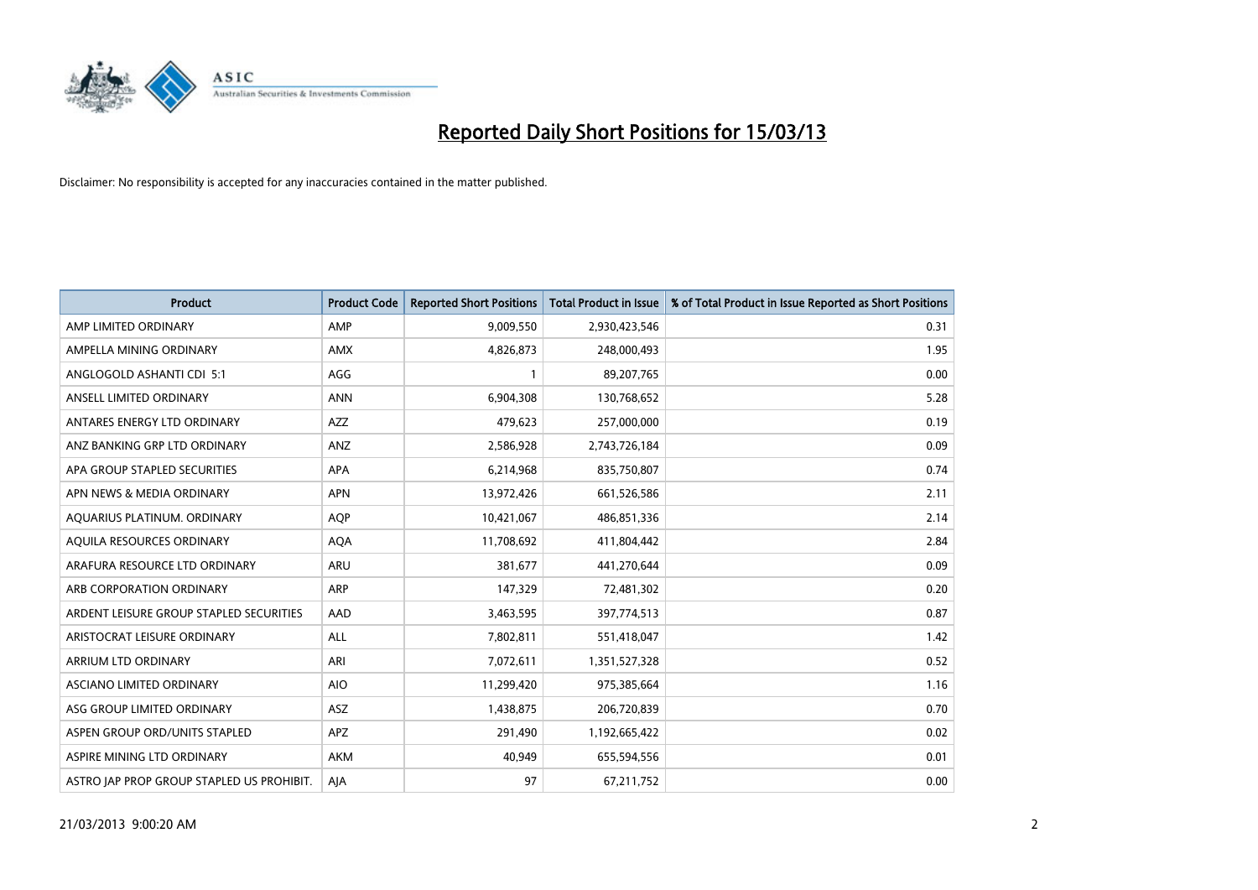

| <b>Product</b>                            | <b>Product Code</b> | <b>Reported Short Positions</b> | <b>Total Product in Issue</b> | % of Total Product in Issue Reported as Short Positions |
|-------------------------------------------|---------------------|---------------------------------|-------------------------------|---------------------------------------------------------|
| AMP LIMITED ORDINARY                      | AMP                 | 9,009,550                       | 2,930,423,546                 | 0.31                                                    |
| AMPELLA MINING ORDINARY                   | <b>AMX</b>          | 4,826,873                       | 248,000,493                   | 1.95                                                    |
| ANGLOGOLD ASHANTI CDI 5:1                 | AGG                 |                                 | 89,207,765                    | 0.00                                                    |
| ANSELL LIMITED ORDINARY                   | <b>ANN</b>          | 6,904,308                       | 130,768,652                   | 5.28                                                    |
| ANTARES ENERGY LTD ORDINARY               | <b>AZZ</b>          | 479,623                         | 257,000,000                   | 0.19                                                    |
| ANZ BANKING GRP LTD ORDINARY              | ANZ                 | 2,586,928                       | 2,743,726,184                 | 0.09                                                    |
| APA GROUP STAPLED SECURITIES              | <b>APA</b>          | 6,214,968                       | 835,750,807                   | 0.74                                                    |
| APN NEWS & MEDIA ORDINARY                 | <b>APN</b>          | 13,972,426                      | 661,526,586                   | 2.11                                                    |
| AQUARIUS PLATINUM. ORDINARY               | <b>AOP</b>          | 10,421,067                      | 486,851,336                   | 2.14                                                    |
| AQUILA RESOURCES ORDINARY                 | <b>AQA</b>          | 11,708,692                      | 411,804,442                   | 2.84                                                    |
| ARAFURA RESOURCE LTD ORDINARY             | <b>ARU</b>          | 381,677                         | 441,270,644                   | 0.09                                                    |
| ARB CORPORATION ORDINARY                  | <b>ARP</b>          | 147,329                         | 72,481,302                    | 0.20                                                    |
| ARDENT LEISURE GROUP STAPLED SECURITIES   | AAD                 | 3,463,595                       | 397,774,513                   | 0.87                                                    |
| ARISTOCRAT LEISURE ORDINARY               | ALL                 | 7,802,811                       | 551,418,047                   | 1.42                                                    |
| ARRIUM LTD ORDINARY                       | ARI                 | 7,072,611                       | 1,351,527,328                 | 0.52                                                    |
| ASCIANO LIMITED ORDINARY                  | <b>AIO</b>          | 11,299,420                      | 975,385,664                   | 1.16                                                    |
| ASG GROUP LIMITED ORDINARY                | <b>ASZ</b>          | 1,438,875                       | 206,720,839                   | 0.70                                                    |
| ASPEN GROUP ORD/UNITS STAPLED             | <b>APZ</b>          | 291,490                         | 1,192,665,422                 | 0.02                                                    |
| ASPIRE MINING LTD ORDINARY                | <b>AKM</b>          | 40,949                          | 655,594,556                   | 0.01                                                    |
| ASTRO JAP PROP GROUP STAPLED US PROHIBIT. | AJA                 | 97                              | 67,211,752                    | 0.00                                                    |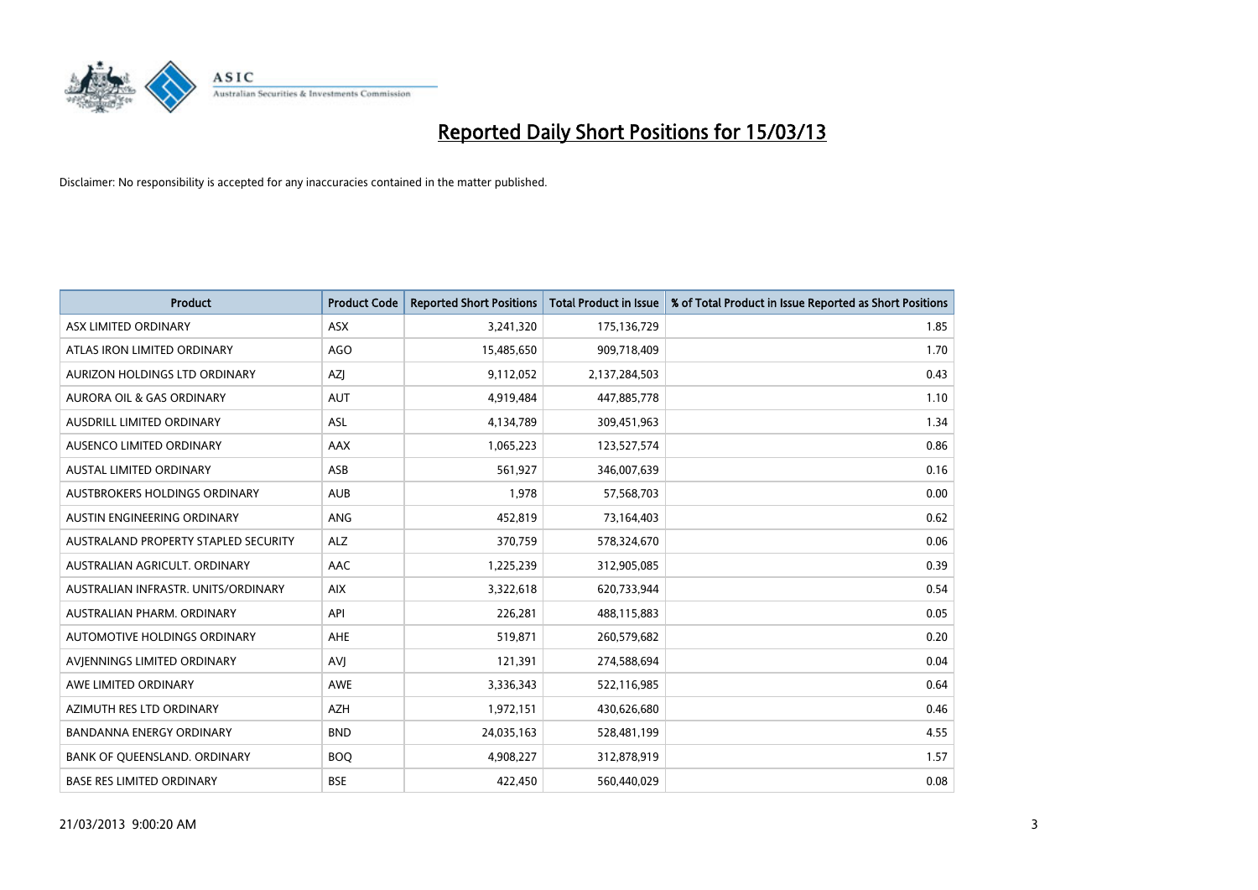

| <b>Product</b>                       | <b>Product Code</b> | <b>Reported Short Positions</b> | <b>Total Product in Issue</b> | % of Total Product in Issue Reported as Short Positions |
|--------------------------------------|---------------------|---------------------------------|-------------------------------|---------------------------------------------------------|
| ASX LIMITED ORDINARY                 | <b>ASX</b>          | 3,241,320                       | 175,136,729                   | 1.85                                                    |
| ATLAS IRON LIMITED ORDINARY          | <b>AGO</b>          | 15,485,650                      | 909,718,409                   | 1.70                                                    |
| <b>AURIZON HOLDINGS LTD ORDINARY</b> | AZJ                 | 9,112,052                       | 2,137,284,503                 | 0.43                                                    |
| AURORA OIL & GAS ORDINARY            | <b>AUT</b>          | 4,919,484                       | 447,885,778                   | 1.10                                                    |
| AUSDRILL LIMITED ORDINARY            | ASL                 | 4,134,789                       | 309,451,963                   | 1.34                                                    |
| AUSENCO LIMITED ORDINARY             | <b>AAX</b>          | 1,065,223                       | 123,527,574                   | 0.86                                                    |
| AUSTAL LIMITED ORDINARY              | ASB                 | 561,927                         | 346,007,639                   | 0.16                                                    |
| AUSTBROKERS HOLDINGS ORDINARY        | <b>AUB</b>          | 1,978                           | 57,568,703                    | 0.00                                                    |
| AUSTIN ENGINEERING ORDINARY          | <b>ANG</b>          | 452,819                         | 73,164,403                    | 0.62                                                    |
| AUSTRALAND PROPERTY STAPLED SECURITY | <b>ALZ</b>          | 370,759                         | 578,324,670                   | 0.06                                                    |
| AUSTRALIAN AGRICULT. ORDINARY        | AAC                 | 1,225,239                       | 312,905,085                   | 0.39                                                    |
| AUSTRALIAN INFRASTR, UNITS/ORDINARY  | <b>AIX</b>          | 3,322,618                       | 620,733,944                   | 0.54                                                    |
| AUSTRALIAN PHARM. ORDINARY           | API                 | 226,281                         | 488,115,883                   | 0.05                                                    |
| AUTOMOTIVE HOLDINGS ORDINARY         | <b>AHE</b>          | 519,871                         | 260,579,682                   | 0.20                                                    |
| AVIENNINGS LIMITED ORDINARY          | AVI                 | 121,391                         | 274,588,694                   | 0.04                                                    |
| AWE LIMITED ORDINARY                 | <b>AWE</b>          | 3,336,343                       | 522,116,985                   | 0.64                                                    |
| AZIMUTH RES LTD ORDINARY             | <b>AZH</b>          | 1,972,151                       | 430,626,680                   | 0.46                                                    |
| <b>BANDANNA ENERGY ORDINARY</b>      | <b>BND</b>          | 24,035,163                      | 528,481,199                   | 4.55                                                    |
| BANK OF QUEENSLAND. ORDINARY         | <b>BOQ</b>          | 4,908,227                       | 312,878,919                   | 1.57                                                    |
| <b>BASE RES LIMITED ORDINARY</b>     | <b>BSE</b>          | 422,450                         | 560,440,029                   | 0.08                                                    |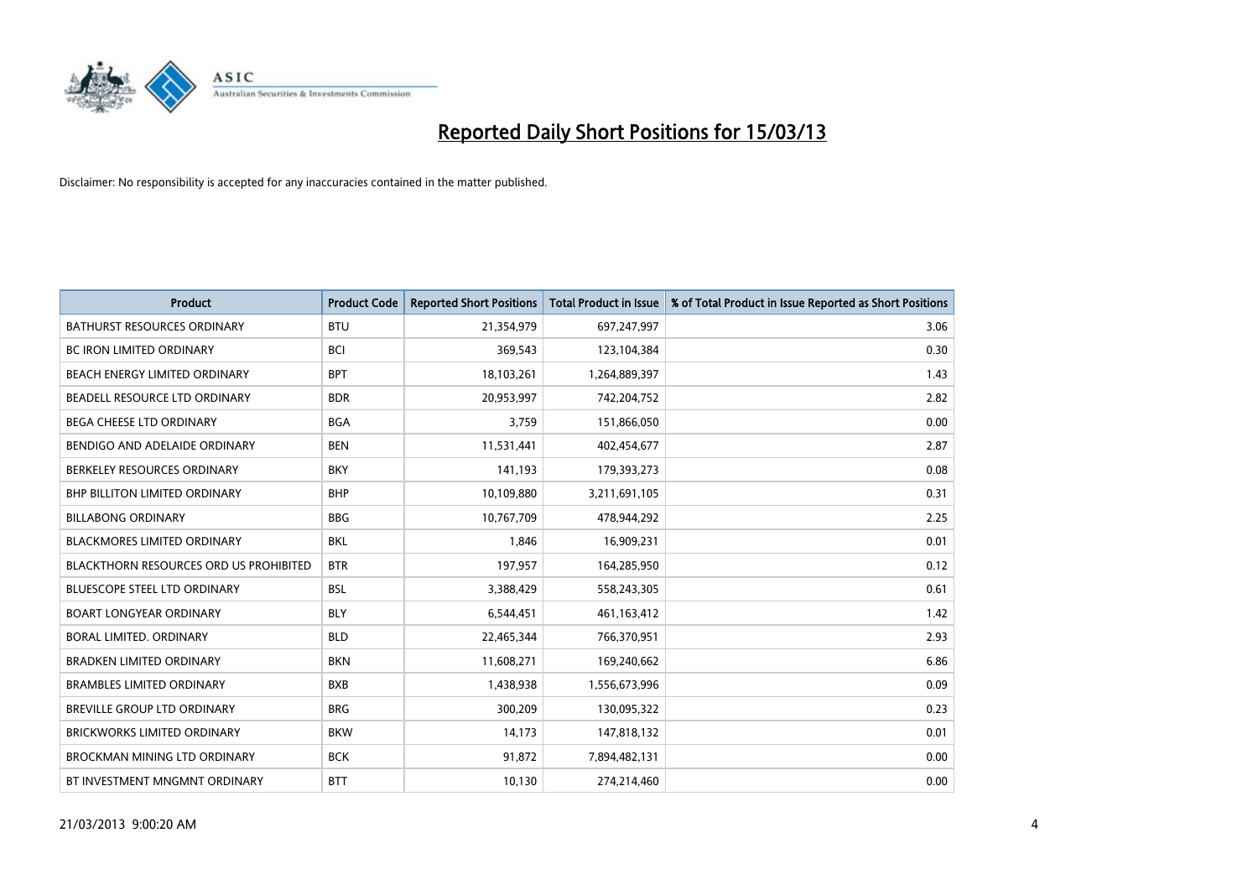

| <b>Product</b>                                | <b>Product Code</b> | <b>Reported Short Positions</b> | <b>Total Product in Issue</b> | % of Total Product in Issue Reported as Short Positions |
|-----------------------------------------------|---------------------|---------------------------------|-------------------------------|---------------------------------------------------------|
| <b>BATHURST RESOURCES ORDINARY</b>            | <b>BTU</b>          | 21,354,979                      | 697,247,997                   | 3.06                                                    |
| BC IRON LIMITED ORDINARY                      | <b>BCI</b>          | 369,543                         | 123,104,384                   | 0.30                                                    |
| <b>BEACH ENERGY LIMITED ORDINARY</b>          | <b>BPT</b>          | 18,103,261                      | 1,264,889,397                 | 1.43                                                    |
| BEADELL RESOURCE LTD ORDINARY                 | <b>BDR</b>          | 20,953,997                      | 742,204,752                   | 2.82                                                    |
| BEGA CHEESE LTD ORDINARY                      | <b>BGA</b>          | 3,759                           | 151,866,050                   | 0.00                                                    |
| BENDIGO AND ADELAIDE ORDINARY                 | <b>BEN</b>          | 11,531,441                      | 402,454,677                   | 2.87                                                    |
| BERKELEY RESOURCES ORDINARY                   | <b>BKY</b>          | 141.193                         | 179,393,273                   | 0.08                                                    |
| <b>BHP BILLITON LIMITED ORDINARY</b>          | <b>BHP</b>          | 10,109,880                      | 3,211,691,105                 | 0.31                                                    |
| <b>BILLABONG ORDINARY</b>                     | <b>BBG</b>          | 10,767,709                      | 478,944,292                   | 2.25                                                    |
| <b>BLACKMORES LIMITED ORDINARY</b>            | <b>BKL</b>          | 1,846                           | 16,909,231                    | 0.01                                                    |
| <b>BLACKTHORN RESOURCES ORD US PROHIBITED</b> | <b>BTR</b>          | 197,957                         | 164,285,950                   | 0.12                                                    |
| BLUESCOPE STEEL LTD ORDINARY                  | <b>BSL</b>          | 3,388,429                       | 558,243,305                   | 0.61                                                    |
| <b>BOART LONGYEAR ORDINARY</b>                | <b>BLY</b>          | 6,544,451                       | 461,163,412                   | 1.42                                                    |
| BORAL LIMITED, ORDINARY                       | <b>BLD</b>          | 22,465,344                      | 766,370,951                   | 2.93                                                    |
| <b>BRADKEN LIMITED ORDINARY</b>               | <b>BKN</b>          | 11,608,271                      | 169,240,662                   | 6.86                                                    |
| <b>BRAMBLES LIMITED ORDINARY</b>              | <b>BXB</b>          | 1,438,938                       | 1,556,673,996                 | 0.09                                                    |
| <b>BREVILLE GROUP LTD ORDINARY</b>            | <b>BRG</b>          | 300,209                         | 130,095,322                   | 0.23                                                    |
| <b>BRICKWORKS LIMITED ORDINARY</b>            | <b>BKW</b>          | 14,173                          | 147,818,132                   | 0.01                                                    |
| <b>BROCKMAN MINING LTD ORDINARY</b>           | <b>BCK</b>          | 91,872                          | 7,894,482,131                 | 0.00                                                    |
| BT INVESTMENT MNGMNT ORDINARY                 | <b>BTT</b>          | 10,130                          | 274,214,460                   | 0.00                                                    |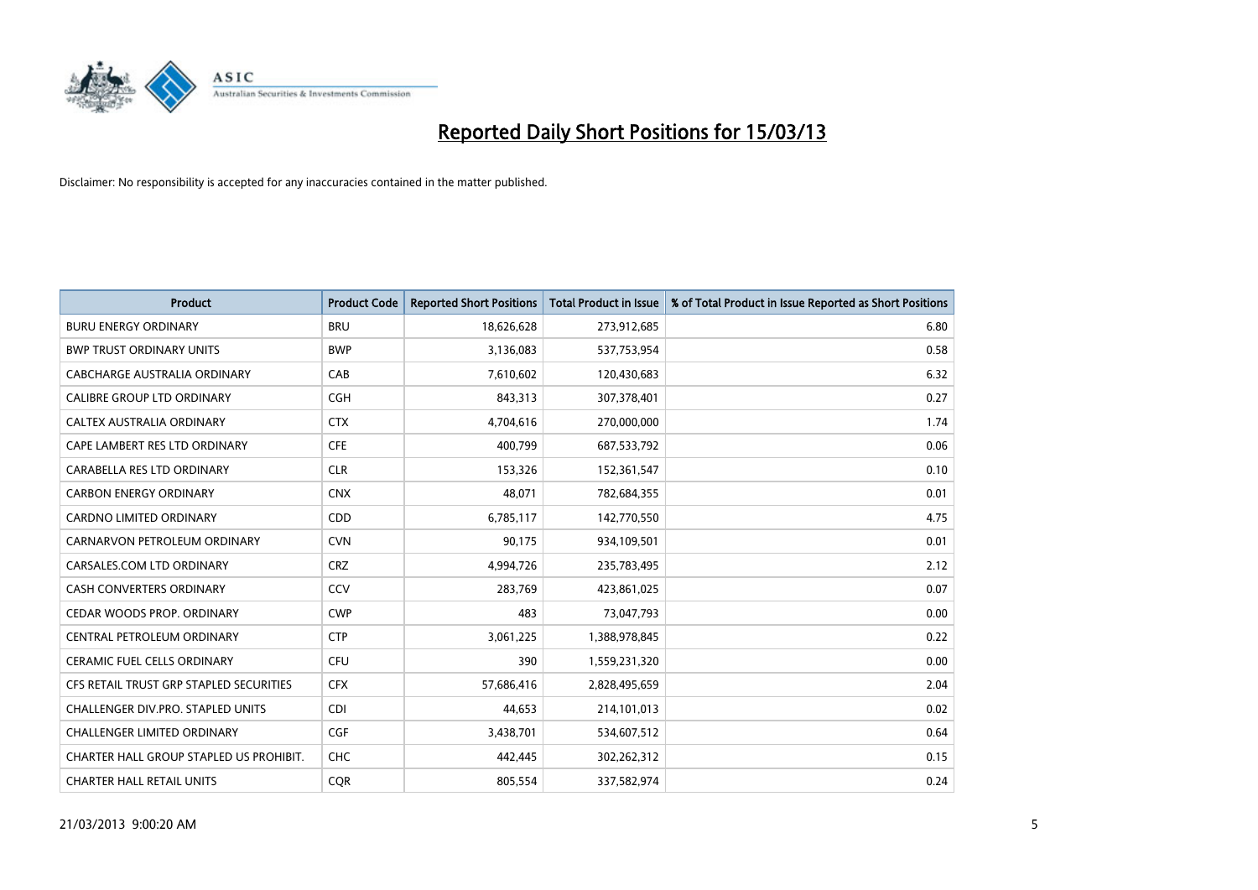

| <b>Product</b>                          | <b>Product Code</b> | <b>Reported Short Positions</b> | Total Product in Issue | % of Total Product in Issue Reported as Short Positions |
|-----------------------------------------|---------------------|---------------------------------|------------------------|---------------------------------------------------------|
| <b>BURU ENERGY ORDINARY</b>             | <b>BRU</b>          | 18,626,628                      | 273,912,685            | 6.80                                                    |
| <b>BWP TRUST ORDINARY UNITS</b>         | <b>BWP</b>          | 3,136,083                       | 537,753,954            | 0.58                                                    |
| CABCHARGE AUSTRALIA ORDINARY            | CAB                 | 7,610,602                       | 120,430,683            | 6.32                                                    |
| CALIBRE GROUP LTD ORDINARY              | <b>CGH</b>          | 843,313                         | 307,378,401            | 0.27                                                    |
| CALTEX AUSTRALIA ORDINARY               | <b>CTX</b>          | 4,704,616                       | 270,000,000            | 1.74                                                    |
| CAPE LAMBERT RES LTD ORDINARY           | <b>CFE</b>          | 400,799                         | 687,533,792            | 0.06                                                    |
| CARABELLA RES LTD ORDINARY              | <b>CLR</b>          | 153,326                         | 152,361,547            | 0.10                                                    |
| <b>CARBON ENERGY ORDINARY</b>           | <b>CNX</b>          | 48.071                          | 782,684,355            | 0.01                                                    |
| CARDNO LIMITED ORDINARY                 | <b>CDD</b>          | 6,785,117                       | 142,770,550            | 4.75                                                    |
| CARNARVON PETROLEUM ORDINARY            | <b>CVN</b>          | 90,175                          | 934,109,501            | 0.01                                                    |
| CARSALES.COM LTD ORDINARY               | <b>CRZ</b>          | 4,994,726                       | 235,783,495            | 2.12                                                    |
| <b>CASH CONVERTERS ORDINARY</b>         | CCV                 | 283,769                         | 423,861,025            | 0.07                                                    |
| CEDAR WOODS PROP. ORDINARY              | <b>CWP</b>          | 483                             | 73,047,793             | 0.00                                                    |
| CENTRAL PETROLEUM ORDINARY              | <b>CTP</b>          | 3,061,225                       | 1,388,978,845          | 0.22                                                    |
| <b>CERAMIC FUEL CELLS ORDINARY</b>      | <b>CFU</b>          | 390                             | 1,559,231,320          | 0.00                                                    |
| CFS RETAIL TRUST GRP STAPLED SECURITIES | <b>CFX</b>          | 57,686,416                      | 2,828,495,659          | 2.04                                                    |
| CHALLENGER DIV.PRO. STAPLED UNITS       | <b>CDI</b>          | 44,653                          | 214,101,013            | 0.02                                                    |
| <b>CHALLENGER LIMITED ORDINARY</b>      | <b>CGF</b>          | 3,438,701                       | 534,607,512            | 0.64                                                    |
| CHARTER HALL GROUP STAPLED US PROHIBIT. | <b>CHC</b>          | 442.445                         | 302,262,312            | 0.15                                                    |
| <b>CHARTER HALL RETAIL UNITS</b>        | <b>COR</b>          | 805.554                         | 337,582,974            | 0.24                                                    |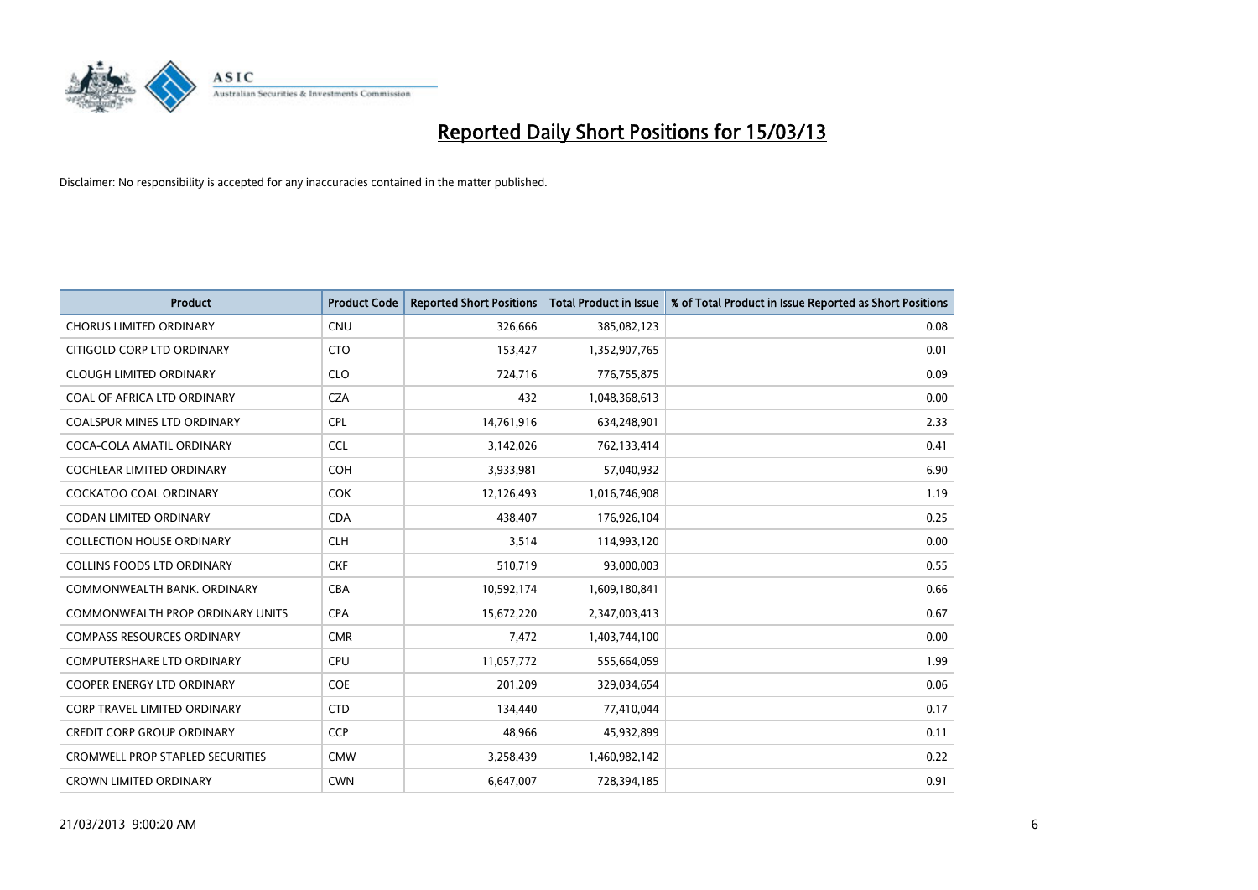

| <b>Product</b>                          | <b>Product Code</b> | <b>Reported Short Positions</b> | <b>Total Product in Issue</b> | % of Total Product in Issue Reported as Short Positions |
|-----------------------------------------|---------------------|---------------------------------|-------------------------------|---------------------------------------------------------|
| <b>CHORUS LIMITED ORDINARY</b>          | <b>CNU</b>          | 326,666                         | 385,082,123                   | 0.08                                                    |
| CITIGOLD CORP LTD ORDINARY              | <b>CTO</b>          | 153,427                         | 1,352,907,765                 | 0.01                                                    |
| <b>CLOUGH LIMITED ORDINARY</b>          | <b>CLO</b>          | 724,716                         | 776,755,875                   | 0.09                                                    |
| COAL OF AFRICA LTD ORDINARY             | <b>CZA</b>          | 432                             | 1,048,368,613                 | 0.00                                                    |
| <b>COALSPUR MINES LTD ORDINARY</b>      | <b>CPL</b>          | 14,761,916                      | 634,248,901                   | 2.33                                                    |
| COCA-COLA AMATIL ORDINARY               | <b>CCL</b>          | 3,142,026                       | 762,133,414                   | 0.41                                                    |
| <b>COCHLEAR LIMITED ORDINARY</b>        | <b>COH</b>          | 3,933,981                       | 57,040,932                    | 6.90                                                    |
| COCKATOO COAL ORDINARY                  | <b>COK</b>          | 12,126,493                      | 1,016,746,908                 | 1.19                                                    |
| <b>CODAN LIMITED ORDINARY</b>           | <b>CDA</b>          | 438.407                         | 176,926,104                   | 0.25                                                    |
| <b>COLLECTION HOUSE ORDINARY</b>        | <b>CLH</b>          | 3,514                           | 114,993,120                   | 0.00                                                    |
| <b>COLLINS FOODS LTD ORDINARY</b>       | <b>CKF</b>          | 510,719                         | 93,000,003                    | 0.55                                                    |
| COMMONWEALTH BANK, ORDINARY             | <b>CBA</b>          | 10,592,174                      | 1,609,180,841                 | 0.66                                                    |
| <b>COMMONWEALTH PROP ORDINARY UNITS</b> | <b>CPA</b>          | 15,672,220                      | 2,347,003,413                 | 0.67                                                    |
| <b>COMPASS RESOURCES ORDINARY</b>       | <b>CMR</b>          | 7,472                           | 1,403,744,100                 | 0.00                                                    |
| <b>COMPUTERSHARE LTD ORDINARY</b>       | CPU                 | 11,057,772                      | 555,664,059                   | 1.99                                                    |
| COOPER ENERGY LTD ORDINARY              | <b>COE</b>          | 201,209                         | 329,034,654                   | 0.06                                                    |
| <b>CORP TRAVEL LIMITED ORDINARY</b>     | <b>CTD</b>          | 134,440                         | 77,410,044                    | 0.17                                                    |
| CREDIT CORP GROUP ORDINARY              | <b>CCP</b>          | 48,966                          | 45,932,899                    | 0.11                                                    |
| <b>CROMWELL PROP STAPLED SECURITIES</b> | <b>CMW</b>          | 3,258,439                       | 1,460,982,142                 | 0.22                                                    |
| <b>CROWN LIMITED ORDINARY</b>           | <b>CWN</b>          | 6,647,007                       | 728,394,185                   | 0.91                                                    |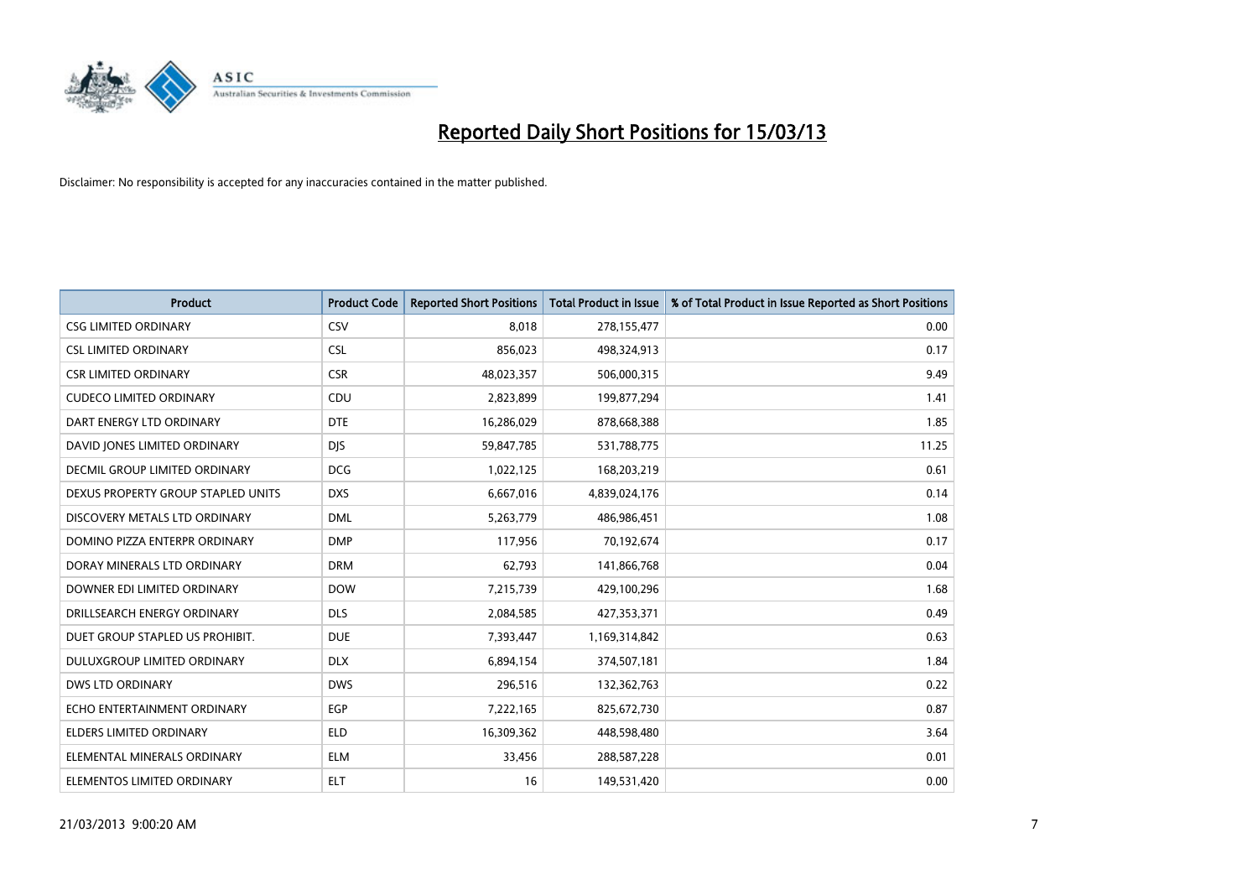

| <b>Product</b>                       | <b>Product Code</b> | <b>Reported Short Positions</b> | <b>Total Product in Issue</b> | % of Total Product in Issue Reported as Short Positions |
|--------------------------------------|---------------------|---------------------------------|-------------------------------|---------------------------------------------------------|
| <b>CSG LIMITED ORDINARY</b>          | CSV                 | 8,018                           | 278,155,477                   | 0.00                                                    |
| <b>CSL LIMITED ORDINARY</b>          | <b>CSL</b>          | 856,023                         | 498,324,913                   | 0.17                                                    |
| <b>CSR LIMITED ORDINARY</b>          | <b>CSR</b>          | 48,023,357                      | 506,000,315                   | 9.49                                                    |
| <b>CUDECO LIMITED ORDINARY</b>       | CDU                 | 2,823,899                       | 199,877,294                   | 1.41                                                    |
| DART ENERGY LTD ORDINARY             | <b>DTE</b>          | 16,286,029                      | 878,668,388                   | 1.85                                                    |
| DAVID JONES LIMITED ORDINARY         | <b>DJS</b>          | 59,847,785                      | 531,788,775                   | 11.25                                                   |
| <b>DECMIL GROUP LIMITED ORDINARY</b> | <b>DCG</b>          | 1,022,125                       | 168,203,219                   | 0.61                                                    |
| DEXUS PROPERTY GROUP STAPLED UNITS   | <b>DXS</b>          | 6,667,016                       | 4,839,024,176                 | 0.14                                                    |
| DISCOVERY METALS LTD ORDINARY        | <b>DML</b>          | 5,263,779                       | 486,986,451                   | 1.08                                                    |
| DOMINO PIZZA ENTERPR ORDINARY        | <b>DMP</b>          | 117,956                         | 70,192,674                    | 0.17                                                    |
| DORAY MINERALS LTD ORDINARY          | <b>DRM</b>          | 62,793                          | 141,866,768                   | 0.04                                                    |
| DOWNER EDI LIMITED ORDINARY          | <b>DOW</b>          | 7,215,739                       | 429,100,296                   | 1.68                                                    |
| DRILLSEARCH ENERGY ORDINARY          | <b>DLS</b>          | 2,084,585                       | 427,353,371                   | 0.49                                                    |
| DUET GROUP STAPLED US PROHIBIT.      | <b>DUE</b>          | 7,393,447                       | 1,169,314,842                 | 0.63                                                    |
| DULUXGROUP LIMITED ORDINARY          | <b>DLX</b>          | 6,894,154                       | 374,507,181                   | 1.84                                                    |
| DWS LTD ORDINARY                     | <b>DWS</b>          | 296,516                         | 132,362,763                   | 0.22                                                    |
| ECHO ENTERTAINMENT ORDINARY          | <b>EGP</b>          | 7,222,165                       | 825,672,730                   | 0.87                                                    |
| ELDERS LIMITED ORDINARY              | <b>ELD</b>          | 16,309,362                      | 448,598,480                   | 3.64                                                    |
| ELEMENTAL MINERALS ORDINARY          | <b>ELM</b>          | 33,456                          | 288,587,228                   | 0.01                                                    |
| ELEMENTOS LIMITED ORDINARY           | <b>ELT</b>          | 16                              | 149,531,420                   | 0.00                                                    |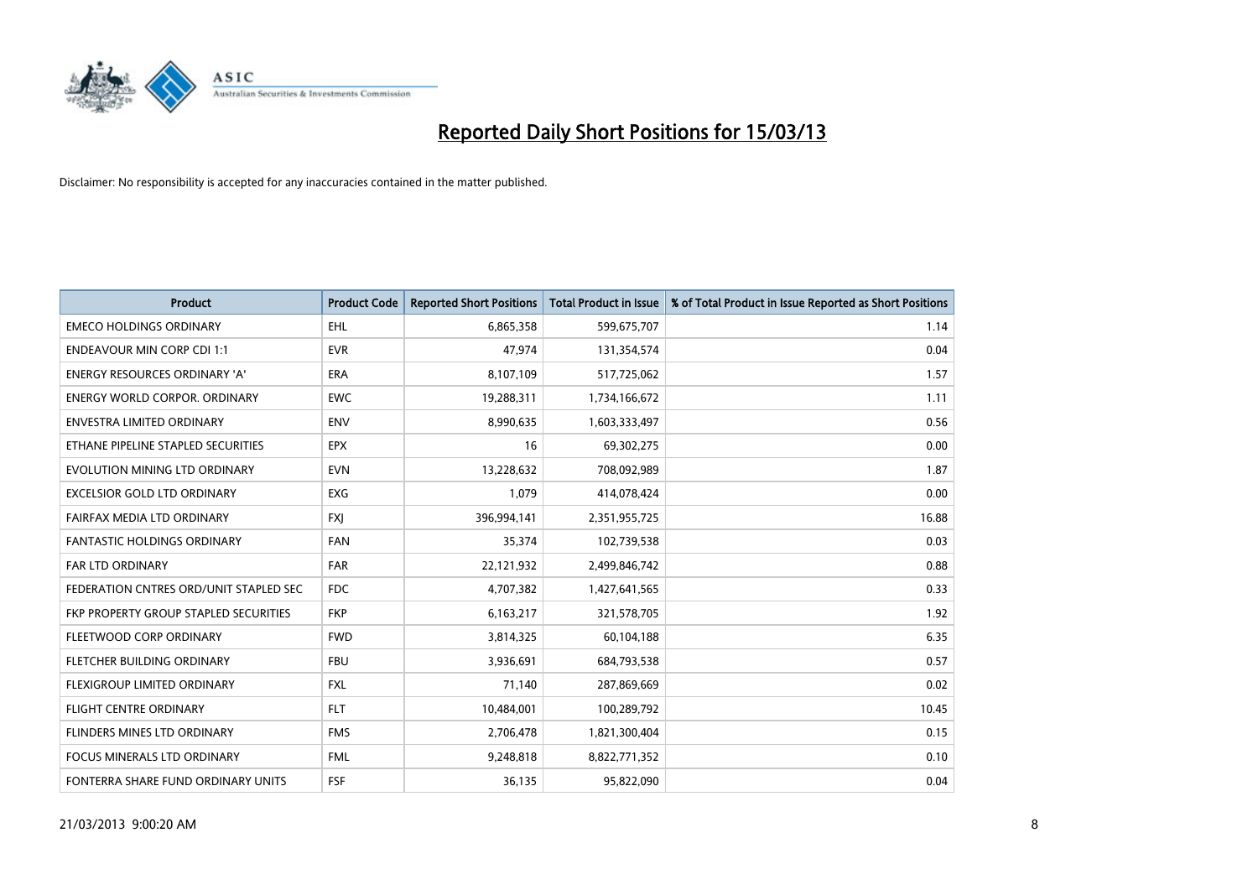

| <b>Product</b>                         | <b>Product Code</b> | <b>Reported Short Positions</b> | <b>Total Product in Issue</b> | % of Total Product in Issue Reported as Short Positions |
|----------------------------------------|---------------------|---------------------------------|-------------------------------|---------------------------------------------------------|
| <b>EMECO HOLDINGS ORDINARY</b>         | <b>EHL</b>          | 6,865,358                       | 599,675,707                   | 1.14                                                    |
| <b>ENDEAVOUR MIN CORP CDI 1:1</b>      | <b>EVR</b>          | 47,974                          | 131,354,574                   | 0.04                                                    |
| <b>ENERGY RESOURCES ORDINARY 'A'</b>   | <b>ERA</b>          | 8,107,109                       | 517,725,062                   | 1.57                                                    |
| <b>ENERGY WORLD CORPOR. ORDINARY</b>   | <b>EWC</b>          | 19,288,311                      | 1,734,166,672                 | 1.11                                                    |
| <b>ENVESTRA LIMITED ORDINARY</b>       | <b>ENV</b>          | 8,990,635                       | 1,603,333,497                 | 0.56                                                    |
| ETHANE PIPELINE STAPLED SECURITIES     | <b>EPX</b>          | 16                              | 69,302,275                    | 0.00                                                    |
| EVOLUTION MINING LTD ORDINARY          | <b>EVN</b>          | 13,228,632                      | 708,092,989                   | 1.87                                                    |
| EXCELSIOR GOLD LTD ORDINARY            | <b>EXG</b>          | 1,079                           | 414,078,424                   | 0.00                                                    |
| FAIRFAX MEDIA LTD ORDINARY             | <b>FXI</b>          | 396,994,141                     | 2,351,955,725                 | 16.88                                                   |
| <b>FANTASTIC HOLDINGS ORDINARY</b>     | <b>FAN</b>          | 35,374                          | 102,739,538                   | 0.03                                                    |
| FAR LTD ORDINARY                       | <b>FAR</b>          | 22,121,932                      | 2,499,846,742                 | 0.88                                                    |
| FEDERATION CNTRES ORD/UNIT STAPLED SEC | <b>FDC</b>          | 4,707,382                       | 1,427,641,565                 | 0.33                                                    |
| FKP PROPERTY GROUP STAPLED SECURITIES  | <b>FKP</b>          | 6,163,217                       | 321,578,705                   | 1.92                                                    |
| FLEETWOOD CORP ORDINARY                | <b>FWD</b>          | 3,814,325                       | 60,104,188                    | 6.35                                                    |
| FLETCHER BUILDING ORDINARY             | <b>FBU</b>          | 3,936,691                       | 684,793,538                   | 0.57                                                    |
| FLEXIGROUP LIMITED ORDINARY            | <b>FXL</b>          | 71,140                          | 287,869,669                   | 0.02                                                    |
| FLIGHT CENTRE ORDINARY                 | <b>FLT</b>          | 10,484,001                      | 100,289,792                   | 10.45                                                   |
| <b>FLINDERS MINES LTD ORDINARY</b>     | <b>FMS</b>          | 2,706,478                       | 1,821,300,404                 | 0.15                                                    |
| <b>FOCUS MINERALS LTD ORDINARY</b>     | <b>FML</b>          | 9,248,818                       | 8,822,771,352                 | 0.10                                                    |
| FONTERRA SHARE FUND ORDINARY UNITS     | FSF                 | 36,135                          | 95,822,090                    | 0.04                                                    |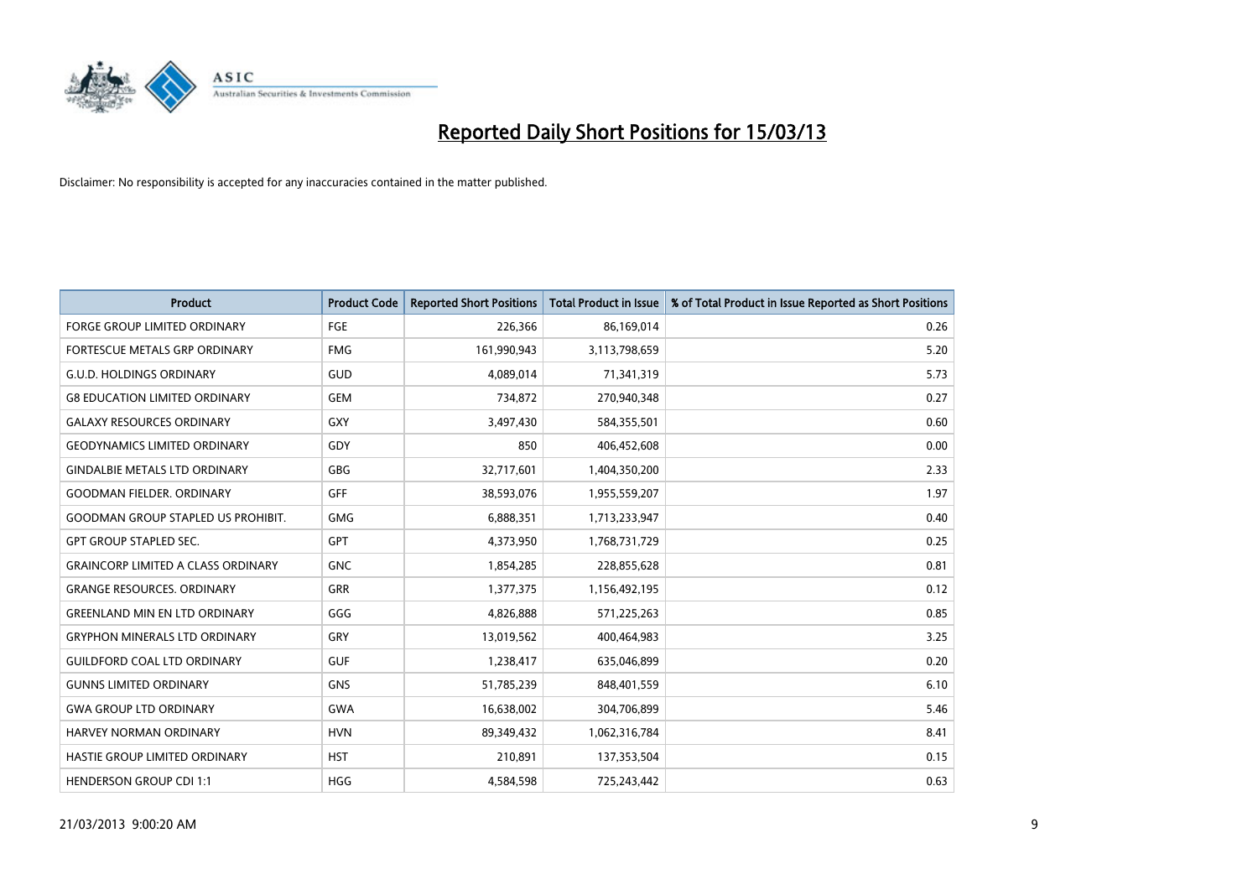

| <b>Product</b>                            | <b>Product Code</b> | <b>Reported Short Positions</b> | <b>Total Product in Issue</b> | % of Total Product in Issue Reported as Short Positions |
|-------------------------------------------|---------------------|---------------------------------|-------------------------------|---------------------------------------------------------|
| <b>FORGE GROUP LIMITED ORDINARY</b>       | FGE                 | 226,366                         | 86,169,014                    | 0.26                                                    |
| FORTESCUE METALS GRP ORDINARY             | <b>FMG</b>          | 161,990,943                     | 3,113,798,659                 | 5.20                                                    |
| <b>G.U.D. HOLDINGS ORDINARY</b>           | GUD                 | 4,089,014                       | 71,341,319                    | 5.73                                                    |
| <b>G8 EDUCATION LIMITED ORDINARY</b>      | <b>GEM</b>          | 734,872                         | 270,940,348                   | 0.27                                                    |
| <b>GALAXY RESOURCES ORDINARY</b>          | <b>GXY</b>          | 3,497,430                       | 584,355,501                   | 0.60                                                    |
| <b>GEODYNAMICS LIMITED ORDINARY</b>       | GDY                 | 850                             | 406,452,608                   | 0.00                                                    |
| <b>GINDALBIE METALS LTD ORDINARY</b>      | GBG                 | 32,717,601                      | 1,404,350,200                 | 2.33                                                    |
| <b>GOODMAN FIELDER, ORDINARY</b>          | <b>GFF</b>          | 38,593,076                      | 1,955,559,207                 | 1.97                                                    |
| <b>GOODMAN GROUP STAPLED US PROHIBIT.</b> | <b>GMG</b>          | 6,888,351                       | 1,713,233,947                 | 0.40                                                    |
| <b>GPT GROUP STAPLED SEC.</b>             | <b>GPT</b>          | 4,373,950                       | 1,768,731,729                 | 0.25                                                    |
| <b>GRAINCORP LIMITED A CLASS ORDINARY</b> | <b>GNC</b>          | 1,854,285                       | 228,855,628                   | 0.81                                                    |
| <b>GRANGE RESOURCES, ORDINARY</b>         | <b>GRR</b>          | 1,377,375                       | 1,156,492,195                 | 0.12                                                    |
| <b>GREENLAND MIN EN LTD ORDINARY</b>      | GGG                 | 4,826,888                       | 571,225,263                   | 0.85                                                    |
| <b>GRYPHON MINERALS LTD ORDINARY</b>      | GRY                 | 13,019,562                      | 400,464,983                   | 3.25                                                    |
| <b>GUILDFORD COAL LTD ORDINARY</b>        | <b>GUF</b>          | 1,238,417                       | 635,046,899                   | 0.20                                                    |
| <b>GUNNS LIMITED ORDINARY</b>             | <b>GNS</b>          | 51,785,239                      | 848,401,559                   | 6.10                                                    |
| <b>GWA GROUP LTD ORDINARY</b>             | <b>GWA</b>          | 16,638,002                      | 304,706,899                   | 5.46                                                    |
| <b>HARVEY NORMAN ORDINARY</b>             | <b>HVN</b>          | 89,349,432                      | 1,062,316,784                 | 8.41                                                    |
| HASTIE GROUP LIMITED ORDINARY             | <b>HST</b>          | 210,891                         | 137,353,504                   | 0.15                                                    |
| <b>HENDERSON GROUP CDI 1:1</b>            | <b>HGG</b>          | 4,584,598                       | 725,243,442                   | 0.63                                                    |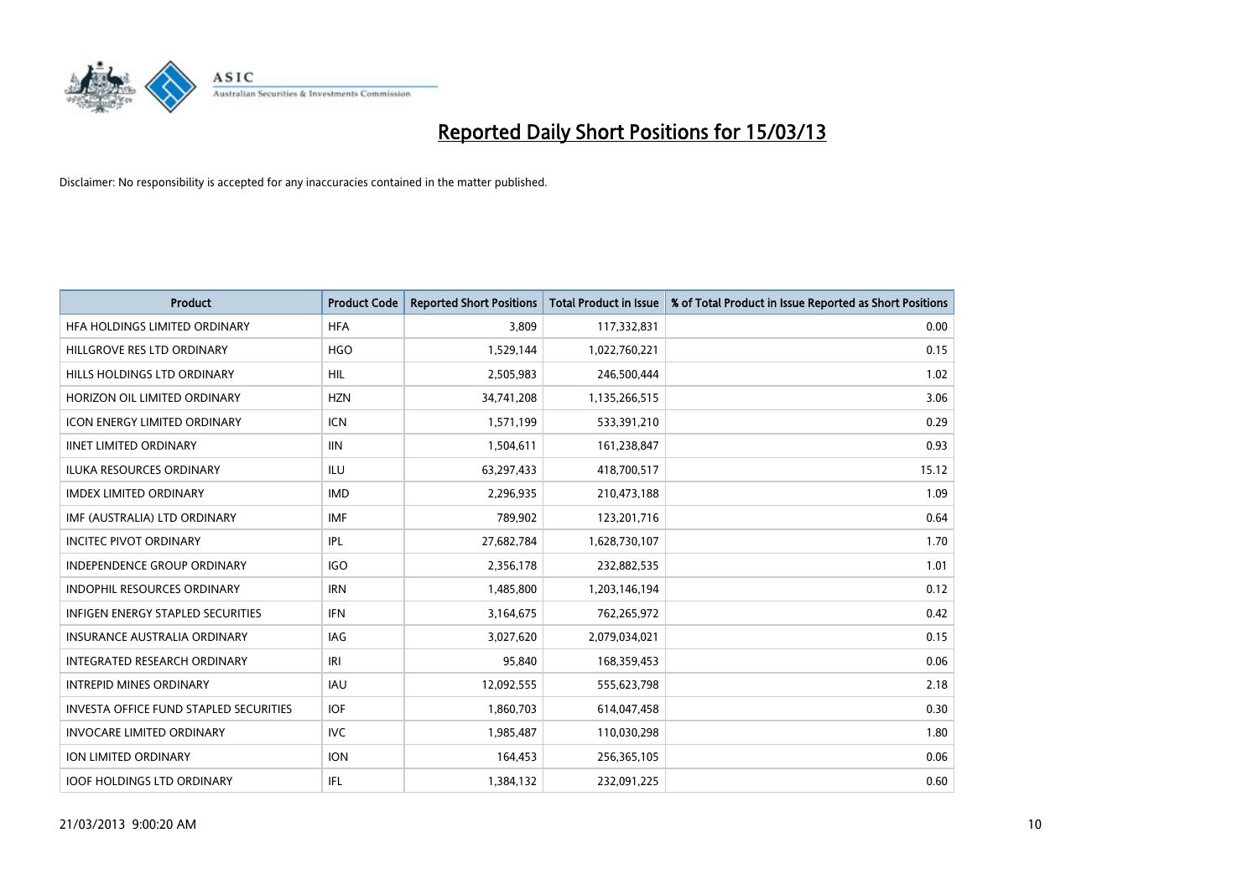

| <b>Product</b>                                | <b>Product Code</b> | <b>Reported Short Positions</b> | <b>Total Product in Issue</b> | % of Total Product in Issue Reported as Short Positions |
|-----------------------------------------------|---------------------|---------------------------------|-------------------------------|---------------------------------------------------------|
| HFA HOLDINGS LIMITED ORDINARY                 | <b>HFA</b>          | 3,809                           | 117,332,831                   | 0.00                                                    |
| HILLGROVE RES LTD ORDINARY                    | <b>HGO</b>          | 1,529,144                       | 1,022,760,221                 | 0.15                                                    |
| HILLS HOLDINGS LTD ORDINARY                   | <b>HIL</b>          | 2,505,983                       | 246,500,444                   | 1.02                                                    |
| HORIZON OIL LIMITED ORDINARY                  | <b>HZN</b>          | 34,741,208                      | 1,135,266,515                 | 3.06                                                    |
| <b>ICON ENERGY LIMITED ORDINARY</b>           | <b>ICN</b>          | 1,571,199                       | 533,391,210                   | 0.29                                                    |
| <b>IINET LIMITED ORDINARY</b>                 | <b>IIN</b>          | 1,504,611                       | 161,238,847                   | 0.93                                                    |
| <b>ILUKA RESOURCES ORDINARY</b>               | ILU                 | 63,297,433                      | 418,700,517                   | 15.12                                                   |
| <b>IMDEX LIMITED ORDINARY</b>                 | <b>IMD</b>          | 2,296,935                       | 210,473,188                   | 1.09                                                    |
| IMF (AUSTRALIA) LTD ORDINARY                  | IMF                 | 789,902                         | 123,201,716                   | 0.64                                                    |
| <b>INCITEC PIVOT ORDINARY</b>                 | IPL                 | 27,682,784                      | 1,628,730,107                 | 1.70                                                    |
| INDEPENDENCE GROUP ORDINARY                   | <b>IGO</b>          | 2,356,178                       | 232,882,535                   | 1.01                                                    |
| <b>INDOPHIL RESOURCES ORDINARY</b>            | <b>IRN</b>          | 1,485,800                       | 1,203,146,194                 | 0.12                                                    |
| <b>INFIGEN ENERGY STAPLED SECURITIES</b>      | <b>IFN</b>          | 3,164,675                       | 762,265,972                   | 0.42                                                    |
| <b>INSURANCE AUSTRALIA ORDINARY</b>           | IAG                 | 3,027,620                       | 2,079,034,021                 | 0.15                                                    |
| <b>INTEGRATED RESEARCH ORDINARY</b>           | IRI                 | 95,840                          | 168,359,453                   | 0.06                                                    |
| <b>INTREPID MINES ORDINARY</b>                | <b>IAU</b>          | 12,092,555                      | 555,623,798                   | 2.18                                                    |
| <b>INVESTA OFFICE FUND STAPLED SECURITIES</b> | <b>IOF</b>          | 1,860,703                       | 614,047,458                   | 0.30                                                    |
| <b>INVOCARE LIMITED ORDINARY</b>              | IVC                 | 1,985,487                       | 110,030,298                   | 1.80                                                    |
| <b>ION LIMITED ORDINARY</b>                   | <b>ION</b>          | 164,453                         | 256,365,105                   | 0.06                                                    |
| <b>IOOF HOLDINGS LTD ORDINARY</b>             | <b>IFL</b>          | 1,384,132                       | 232,091,225                   | 0.60                                                    |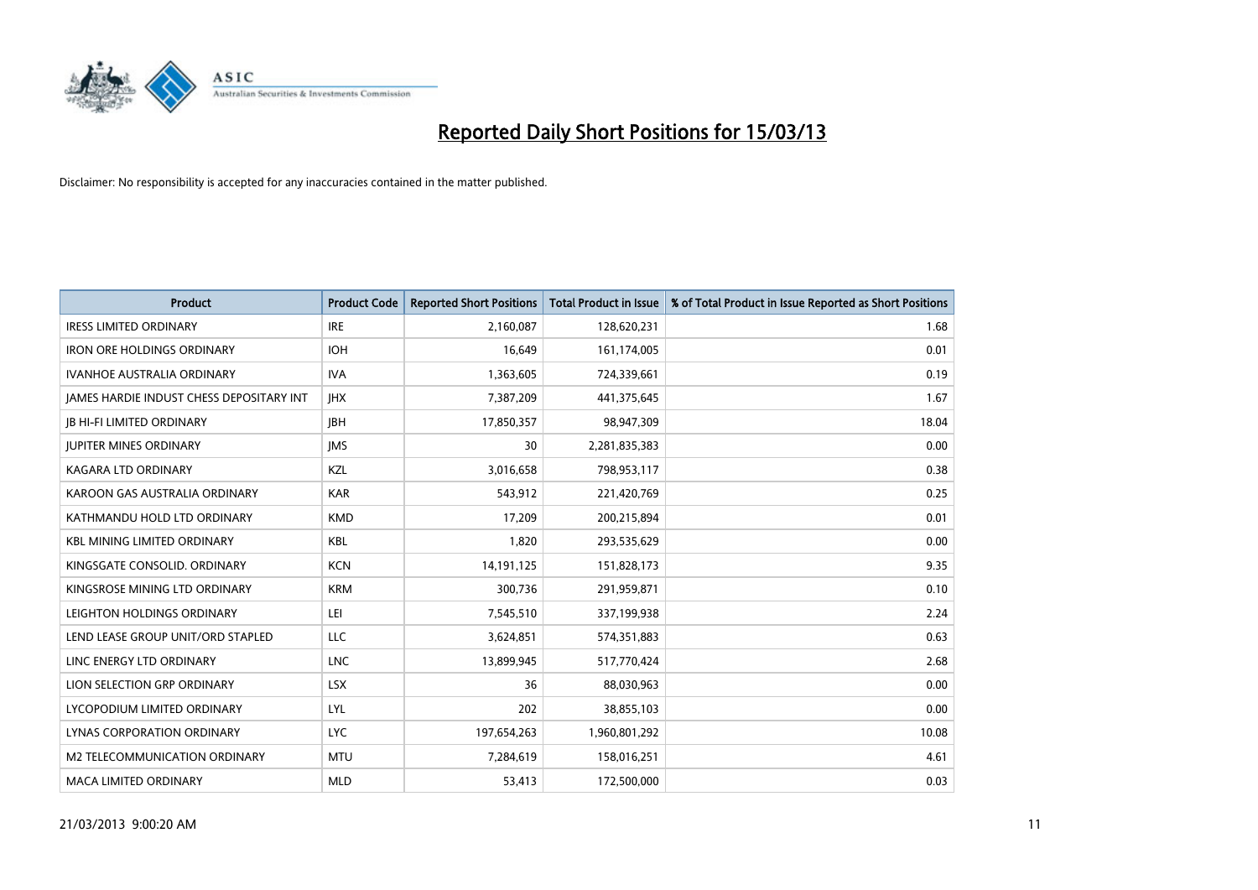

| <b>Product</b>                           | <b>Product Code</b> | <b>Reported Short Positions</b> | <b>Total Product in Issue</b> | % of Total Product in Issue Reported as Short Positions |
|------------------------------------------|---------------------|---------------------------------|-------------------------------|---------------------------------------------------------|
| <b>IRESS LIMITED ORDINARY</b>            | <b>IRE</b>          | 2,160,087                       | 128,620,231                   | 1.68                                                    |
| <b>IRON ORE HOLDINGS ORDINARY</b>        | <b>IOH</b>          | 16,649                          | 161,174,005                   | 0.01                                                    |
| <b>IVANHOE AUSTRALIA ORDINARY</b>        | <b>IVA</b>          | 1,363,605                       | 724,339,661                   | 0.19                                                    |
| JAMES HARDIE INDUST CHESS DEPOSITARY INT | <b>IHX</b>          | 7,387,209                       | 441,375,645                   | 1.67                                                    |
| <b>IB HI-FI LIMITED ORDINARY</b>         | <b>IBH</b>          | 17,850,357                      | 98,947,309                    | 18.04                                                   |
| <b>JUPITER MINES ORDINARY</b>            | <b>IMS</b>          | 30                              | 2,281,835,383                 | 0.00                                                    |
| KAGARA LTD ORDINARY                      | KZL                 | 3,016,658                       | 798,953,117                   | 0.38                                                    |
| KAROON GAS AUSTRALIA ORDINARY            | <b>KAR</b>          | 543,912                         | 221,420,769                   | 0.25                                                    |
| KATHMANDU HOLD LTD ORDINARY              | <b>KMD</b>          | 17.209                          | 200,215,894                   | 0.01                                                    |
| <b>KBL MINING LIMITED ORDINARY</b>       | <b>KBL</b>          | 1,820                           | 293,535,629                   | 0.00                                                    |
| KINGSGATE CONSOLID. ORDINARY             | <b>KCN</b>          | 14,191,125                      | 151,828,173                   | 9.35                                                    |
| KINGSROSE MINING LTD ORDINARY            | <b>KRM</b>          | 300,736                         | 291,959,871                   | 0.10                                                    |
| LEIGHTON HOLDINGS ORDINARY               | LEI                 | 7,545,510                       | 337,199,938                   | 2.24                                                    |
| LEND LEASE GROUP UNIT/ORD STAPLED        | <b>LLC</b>          | 3,624,851                       | 574,351,883                   | 0.63                                                    |
| LINC ENERGY LTD ORDINARY                 | <b>LNC</b>          | 13,899,945                      | 517,770,424                   | 2.68                                                    |
| LION SELECTION GRP ORDINARY              | <b>LSX</b>          | 36                              | 88,030,963                    | 0.00                                                    |
| LYCOPODIUM LIMITED ORDINARY              | <b>LYL</b>          | 202                             | 38,855,103                    | 0.00                                                    |
| LYNAS CORPORATION ORDINARY               | <b>LYC</b>          | 197,654,263                     | 1,960,801,292                 | 10.08                                                   |
| M2 TELECOMMUNICATION ORDINARY            | <b>MTU</b>          | 7,284,619                       | 158,016,251                   | 4.61                                                    |
| MACA LIMITED ORDINARY                    | <b>MLD</b>          | 53,413                          | 172,500,000                   | 0.03                                                    |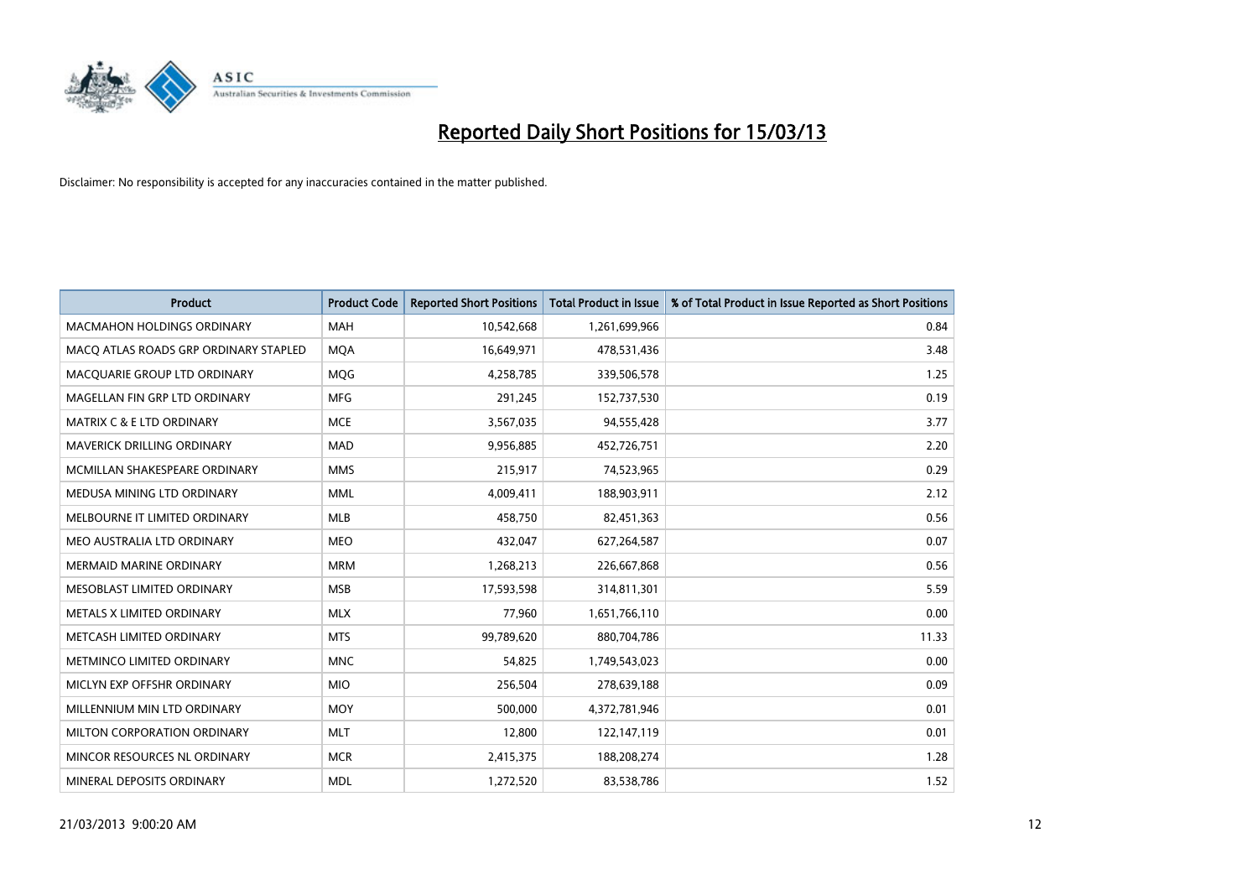

| <b>Product</b>                        | <b>Product Code</b> | <b>Reported Short Positions</b> | <b>Total Product in Issue</b> | % of Total Product in Issue Reported as Short Positions |
|---------------------------------------|---------------------|---------------------------------|-------------------------------|---------------------------------------------------------|
| <b>MACMAHON HOLDINGS ORDINARY</b>     | <b>MAH</b>          | 10,542,668                      | 1,261,699,966                 | 0.84                                                    |
| MACO ATLAS ROADS GRP ORDINARY STAPLED | <b>MOA</b>          | 16,649,971                      | 478,531,436                   | 3.48                                                    |
| MACQUARIE GROUP LTD ORDINARY          | <b>MOG</b>          | 4,258,785                       | 339,506,578                   | 1.25                                                    |
| MAGELLAN FIN GRP LTD ORDINARY         | <b>MFG</b>          | 291,245                         | 152,737,530                   | 0.19                                                    |
| <b>MATRIX C &amp; E LTD ORDINARY</b>  | <b>MCE</b>          | 3,567,035                       | 94,555,428                    | 3.77                                                    |
| <b>MAVERICK DRILLING ORDINARY</b>     | <b>MAD</b>          | 9,956,885                       | 452,726,751                   | 2.20                                                    |
| MCMILLAN SHAKESPEARE ORDINARY         | <b>MMS</b>          | 215,917                         | 74,523,965                    | 0.29                                                    |
| MEDUSA MINING LTD ORDINARY            | <b>MML</b>          | 4,009,411                       | 188,903,911                   | 2.12                                                    |
| MELBOURNE IT LIMITED ORDINARY         | <b>MLB</b>          | 458,750                         | 82,451,363                    | 0.56                                                    |
| MEO AUSTRALIA LTD ORDINARY            | <b>MEO</b>          | 432,047                         | 627,264,587                   | 0.07                                                    |
| MERMAID MARINE ORDINARY               | <b>MRM</b>          | 1,268,213                       | 226,667,868                   | 0.56                                                    |
| MESOBLAST LIMITED ORDINARY            | <b>MSB</b>          | 17,593,598                      | 314,811,301                   | 5.59                                                    |
| METALS X LIMITED ORDINARY             | <b>MLX</b>          | 77,960                          | 1,651,766,110                 | 0.00                                                    |
| METCASH LIMITED ORDINARY              | <b>MTS</b>          | 99,789,620                      | 880,704,786                   | 11.33                                                   |
| METMINCO LIMITED ORDINARY             | <b>MNC</b>          | 54,825                          | 1,749,543,023                 | 0.00                                                    |
| MICLYN EXP OFFSHR ORDINARY            | <b>MIO</b>          | 256,504                         | 278,639,188                   | 0.09                                                    |
| MILLENNIUM MIN LTD ORDINARY           | <b>MOY</b>          | 500,000                         | 4,372,781,946                 | 0.01                                                    |
| MILTON CORPORATION ORDINARY           | <b>MLT</b>          | 12,800                          | 122,147,119                   | 0.01                                                    |
| MINCOR RESOURCES NL ORDINARY          | <b>MCR</b>          | 2,415,375                       | 188,208,274                   | 1.28                                                    |
| MINERAL DEPOSITS ORDINARY             | <b>MDL</b>          | 1,272,520                       | 83,538,786                    | 1.52                                                    |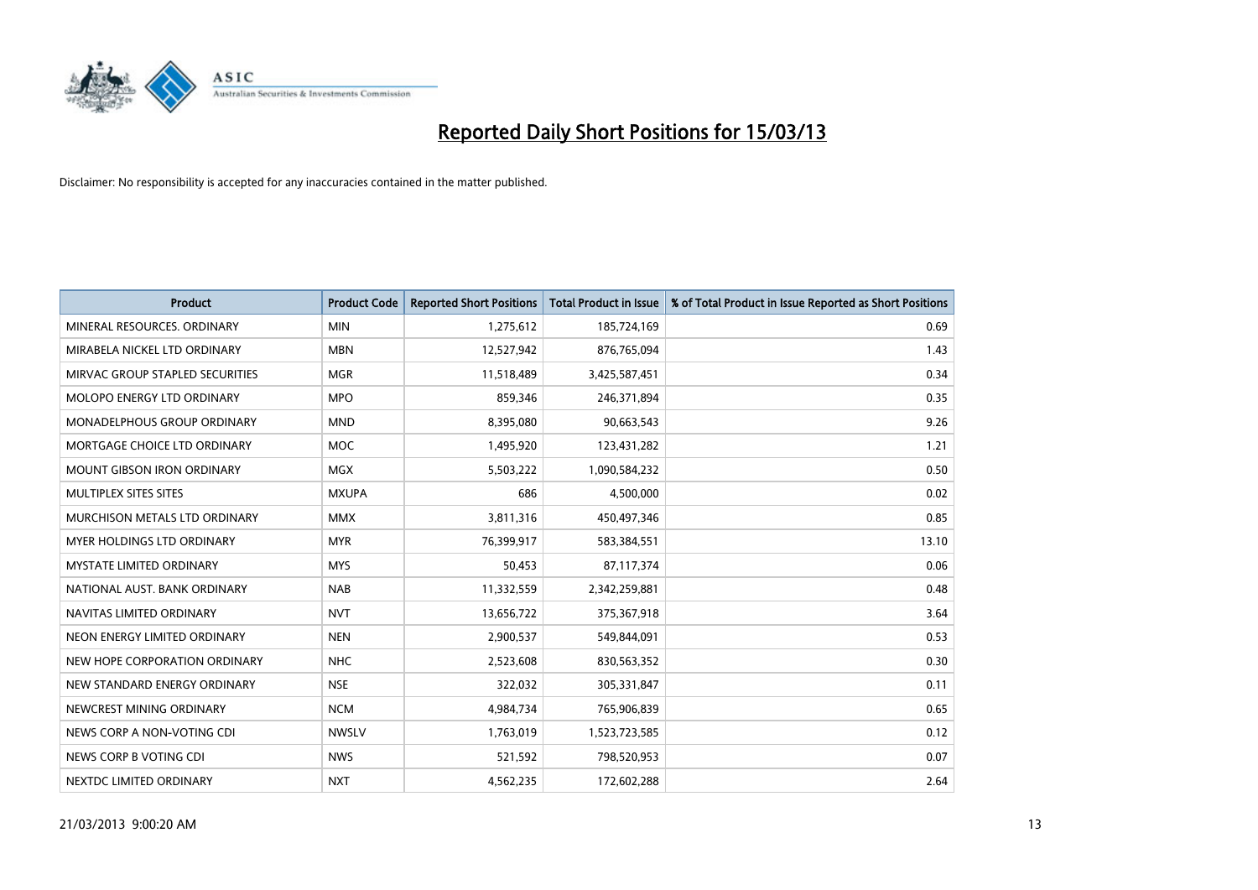

| <b>Product</b>                     | <b>Product Code</b> | <b>Reported Short Positions</b> | <b>Total Product in Issue</b> | % of Total Product in Issue Reported as Short Positions |
|------------------------------------|---------------------|---------------------------------|-------------------------------|---------------------------------------------------------|
| MINERAL RESOURCES, ORDINARY        | <b>MIN</b>          | 1,275,612                       | 185,724,169                   | 0.69                                                    |
| MIRABELA NICKEL LTD ORDINARY       | <b>MBN</b>          | 12,527,942                      | 876,765,094                   | 1.43                                                    |
| MIRVAC GROUP STAPLED SECURITIES    | <b>MGR</b>          | 11,518,489                      | 3,425,587,451                 | 0.34                                                    |
| MOLOPO ENERGY LTD ORDINARY         | <b>MPO</b>          | 859,346                         | 246,371,894                   | 0.35                                                    |
| <b>MONADELPHOUS GROUP ORDINARY</b> | <b>MND</b>          | 8,395,080                       | 90,663,543                    | 9.26                                                    |
| MORTGAGE CHOICE LTD ORDINARY       | <b>MOC</b>          | 1,495,920                       | 123,431,282                   | 1.21                                                    |
| <b>MOUNT GIBSON IRON ORDINARY</b>  | <b>MGX</b>          | 5,503,222                       | 1,090,584,232                 | 0.50                                                    |
| MULTIPLEX SITES SITES              | <b>MXUPA</b>        | 686                             | 4,500,000                     | 0.02                                                    |
| MURCHISON METALS LTD ORDINARY      | <b>MMX</b>          | 3,811,316                       | 450,497,346                   | 0.85                                                    |
| <b>MYER HOLDINGS LTD ORDINARY</b>  | <b>MYR</b>          | 76,399,917                      | 583,384,551                   | 13.10                                                   |
| MYSTATE LIMITED ORDINARY           | <b>MYS</b>          | 50,453                          | 87,117,374                    | 0.06                                                    |
| NATIONAL AUST, BANK ORDINARY       | <b>NAB</b>          | 11,332,559                      | 2,342,259,881                 | 0.48                                                    |
| NAVITAS LIMITED ORDINARY           | <b>NVT</b>          | 13,656,722                      | 375,367,918                   | 3.64                                                    |
| NEON ENERGY LIMITED ORDINARY       | <b>NEN</b>          | 2,900,537                       | 549,844,091                   | 0.53                                                    |
| NEW HOPE CORPORATION ORDINARY      | <b>NHC</b>          | 2,523,608                       | 830,563,352                   | 0.30                                                    |
| NEW STANDARD ENERGY ORDINARY       | <b>NSE</b>          | 322,032                         | 305,331,847                   | 0.11                                                    |
| NEWCREST MINING ORDINARY           | <b>NCM</b>          | 4,984,734                       | 765,906,839                   | 0.65                                                    |
| NEWS CORP A NON-VOTING CDI         | <b>NWSLV</b>        | 1,763,019                       | 1,523,723,585                 | 0.12                                                    |
| NEWS CORP B VOTING CDI             | <b>NWS</b>          | 521,592                         | 798,520,953                   | 0.07                                                    |
| NEXTDC LIMITED ORDINARY            | <b>NXT</b>          | 4,562,235                       | 172,602,288                   | 2.64                                                    |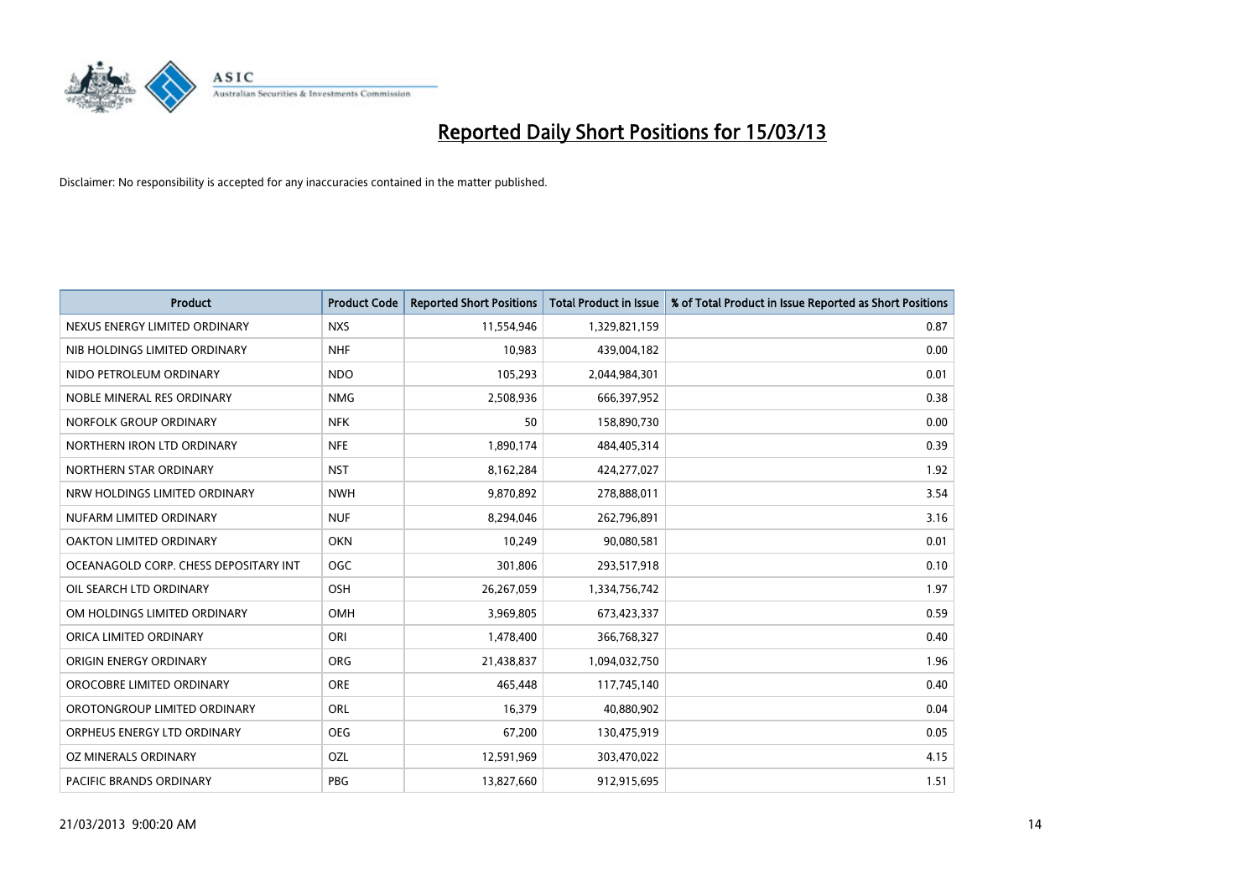

| <b>Product</b>                        | <b>Product Code</b> | <b>Reported Short Positions</b> | <b>Total Product in Issue</b> | % of Total Product in Issue Reported as Short Positions |
|---------------------------------------|---------------------|---------------------------------|-------------------------------|---------------------------------------------------------|
| NEXUS ENERGY LIMITED ORDINARY         | <b>NXS</b>          | 11,554,946                      | 1,329,821,159                 | 0.87                                                    |
| NIB HOLDINGS LIMITED ORDINARY         | <b>NHF</b>          | 10,983                          | 439,004,182                   | 0.00                                                    |
| NIDO PETROLEUM ORDINARY               | NDO                 | 105,293                         | 2,044,984,301                 | 0.01                                                    |
| NOBLE MINERAL RES ORDINARY            | <b>NMG</b>          | 2,508,936                       | 666,397,952                   | 0.38                                                    |
| NORFOLK GROUP ORDINARY                | <b>NFK</b>          | 50                              | 158,890,730                   | 0.00                                                    |
| NORTHERN IRON LTD ORDINARY            | <b>NFE</b>          | 1,890,174                       | 484,405,314                   | 0.39                                                    |
| NORTHERN STAR ORDINARY                | <b>NST</b>          | 8,162,284                       | 424,277,027                   | 1.92                                                    |
| NRW HOLDINGS LIMITED ORDINARY         | <b>NWH</b>          | 9,870,892                       | 278,888,011                   | 3.54                                                    |
| NUFARM LIMITED ORDINARY               | <b>NUF</b>          | 8,294,046                       | 262,796,891                   | 3.16                                                    |
| OAKTON LIMITED ORDINARY               | <b>OKN</b>          | 10,249                          | 90,080,581                    | 0.01                                                    |
| OCEANAGOLD CORP. CHESS DEPOSITARY INT | OGC                 | 301,806                         | 293,517,918                   | 0.10                                                    |
| OIL SEARCH LTD ORDINARY               | OSH                 | 26,267,059                      | 1,334,756,742                 | 1.97                                                    |
| OM HOLDINGS LIMITED ORDINARY          | OMH                 | 3,969,805                       | 673,423,337                   | 0.59                                                    |
| ORICA LIMITED ORDINARY                | ORI                 | 1,478,400                       | 366,768,327                   | 0.40                                                    |
| ORIGIN ENERGY ORDINARY                | <b>ORG</b>          | 21,438,837                      | 1,094,032,750                 | 1.96                                                    |
| OROCOBRE LIMITED ORDINARY             | <b>ORE</b>          | 465.448                         | 117,745,140                   | 0.40                                                    |
| OROTONGROUP LIMITED ORDINARY          | ORL                 | 16,379                          | 40,880,902                    | 0.04                                                    |
| ORPHEUS ENERGY LTD ORDINARY           | <b>OEG</b>          | 67,200                          | 130,475,919                   | 0.05                                                    |
| OZ MINERALS ORDINARY                  | OZL                 | 12,591,969                      | 303,470,022                   | 4.15                                                    |
| PACIFIC BRANDS ORDINARY               | PBG                 | 13,827,660                      | 912,915,695                   | 1.51                                                    |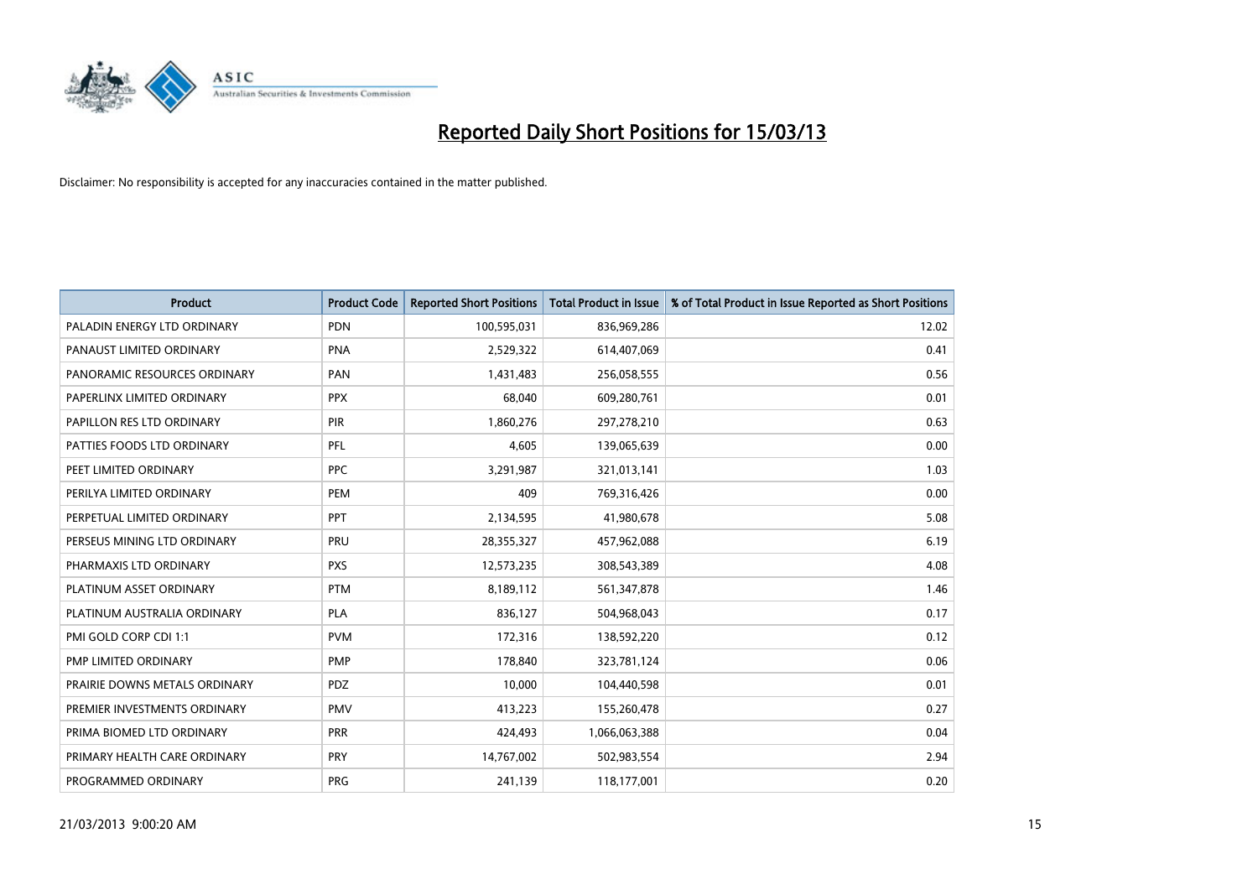

| <b>Product</b>                | <b>Product Code</b> | <b>Reported Short Positions</b> | <b>Total Product in Issue</b> | % of Total Product in Issue Reported as Short Positions |
|-------------------------------|---------------------|---------------------------------|-------------------------------|---------------------------------------------------------|
| PALADIN ENERGY LTD ORDINARY   | <b>PDN</b>          | 100,595,031                     | 836,969,286                   | 12.02                                                   |
| PANAUST LIMITED ORDINARY      | <b>PNA</b>          | 2,529,322                       | 614,407,069                   | 0.41                                                    |
| PANORAMIC RESOURCES ORDINARY  | PAN                 | 1,431,483                       | 256,058,555                   | 0.56                                                    |
| PAPERLINX LIMITED ORDINARY    | <b>PPX</b>          | 68,040                          | 609,280,761                   | 0.01                                                    |
| PAPILLON RES LTD ORDINARY     | <b>PIR</b>          | 1,860,276                       | 297,278,210                   | 0.63                                                    |
| PATTIES FOODS LTD ORDINARY    | PFL                 | 4,605                           | 139,065,639                   | 0.00                                                    |
| PEET LIMITED ORDINARY         | <b>PPC</b>          | 3,291,987                       | 321,013,141                   | 1.03                                                    |
| PERILYA LIMITED ORDINARY      | PEM                 | 409                             | 769,316,426                   | 0.00                                                    |
| PERPETUAL LIMITED ORDINARY    | PPT                 | 2,134,595                       | 41,980,678                    | 5.08                                                    |
| PERSEUS MINING LTD ORDINARY   | PRU                 | 28,355,327                      | 457,962,088                   | 6.19                                                    |
| PHARMAXIS LTD ORDINARY        | <b>PXS</b>          | 12,573,235                      | 308,543,389                   | 4.08                                                    |
| PLATINUM ASSET ORDINARY       | <b>PTM</b>          | 8,189,112                       | 561,347,878                   | 1.46                                                    |
| PLATINUM AUSTRALIA ORDINARY   | <b>PLA</b>          | 836,127                         | 504,968,043                   | 0.17                                                    |
| PMI GOLD CORP CDI 1:1         | <b>PVM</b>          | 172,316                         | 138,592,220                   | 0.12                                                    |
| PMP LIMITED ORDINARY          | PMP                 | 178,840                         | 323,781,124                   | 0.06                                                    |
| PRAIRIE DOWNS METALS ORDINARY | <b>PDZ</b>          | 10,000                          | 104,440,598                   | 0.01                                                    |
| PREMIER INVESTMENTS ORDINARY  | <b>PMV</b>          | 413,223                         | 155,260,478                   | 0.27                                                    |
| PRIMA BIOMED LTD ORDINARY     | <b>PRR</b>          | 424,493                         | 1,066,063,388                 | 0.04                                                    |
| PRIMARY HEALTH CARE ORDINARY  | <b>PRY</b>          | 14,767,002                      | 502,983,554                   | 2.94                                                    |
| PROGRAMMED ORDINARY           | <b>PRG</b>          | 241,139                         | 118,177,001                   | 0.20                                                    |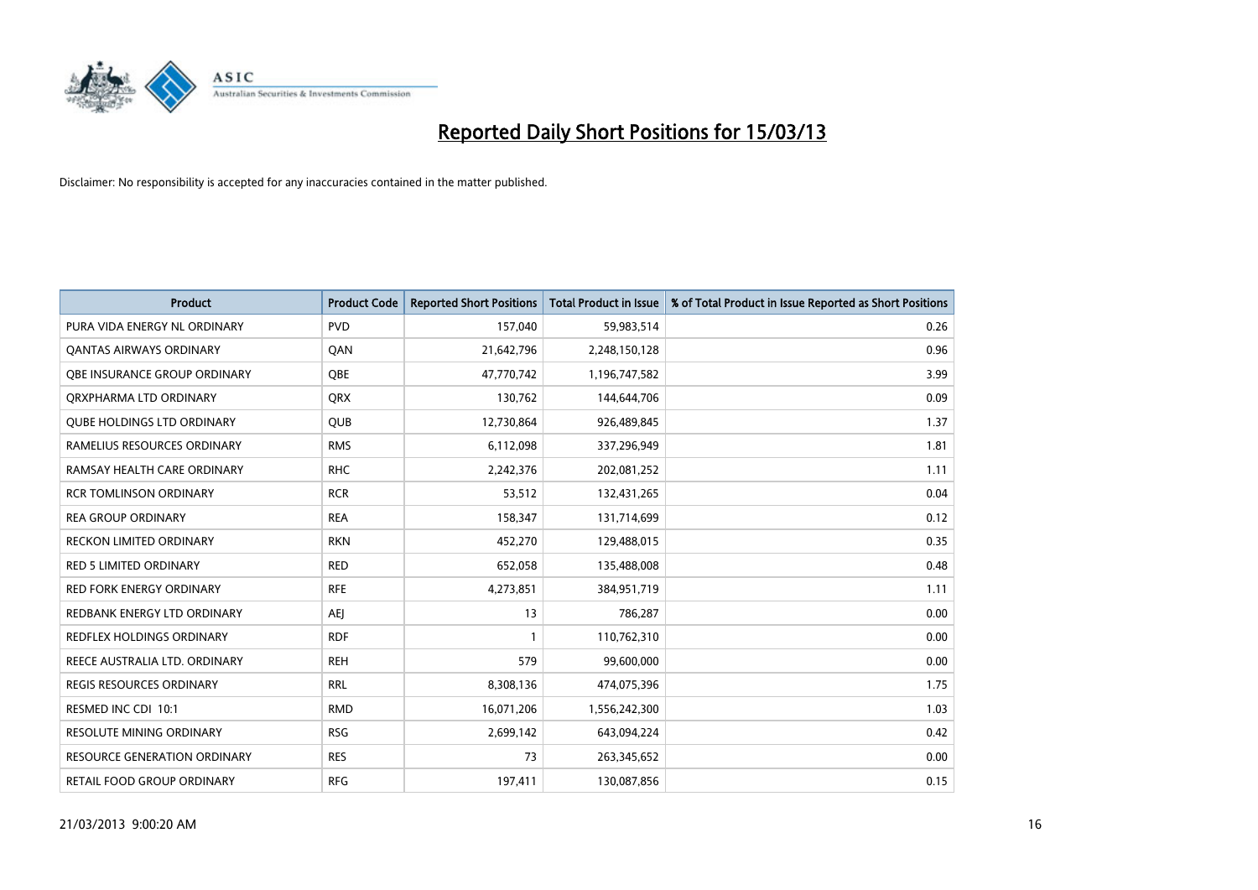

| <b>Product</b>                      | <b>Product Code</b> | <b>Reported Short Positions</b> | <b>Total Product in Issue</b> | % of Total Product in Issue Reported as Short Positions |
|-------------------------------------|---------------------|---------------------------------|-------------------------------|---------------------------------------------------------|
| PURA VIDA ENERGY NL ORDINARY        | <b>PVD</b>          | 157,040                         | 59,983,514                    | 0.26                                                    |
| <b>QANTAS AIRWAYS ORDINARY</b>      | QAN                 | 21,642,796                      | 2,248,150,128                 | 0.96                                                    |
| OBE INSURANCE GROUP ORDINARY        | <b>OBE</b>          | 47,770,742                      | 1,196,747,582                 | 3.99                                                    |
| ORXPHARMA LTD ORDINARY              | <b>QRX</b>          | 130,762                         | 144,644,706                   | 0.09                                                    |
| <b>QUBE HOLDINGS LTD ORDINARY</b>   | <b>QUB</b>          | 12,730,864                      | 926,489,845                   | 1.37                                                    |
| RAMELIUS RESOURCES ORDINARY         | <b>RMS</b>          | 6,112,098                       | 337,296,949                   | 1.81                                                    |
| RAMSAY HEALTH CARE ORDINARY         | <b>RHC</b>          | 2,242,376                       | 202,081,252                   | 1.11                                                    |
| <b>RCR TOMLINSON ORDINARY</b>       | <b>RCR</b>          | 53,512                          | 132,431,265                   | 0.04                                                    |
| <b>REA GROUP ORDINARY</b>           | <b>REA</b>          | 158,347                         | 131,714,699                   | 0.12                                                    |
| <b>RECKON LIMITED ORDINARY</b>      | <b>RKN</b>          | 452,270                         | 129,488,015                   | 0.35                                                    |
| RED 5 LIMITED ORDINARY              | <b>RED</b>          | 652,058                         | 135,488,008                   | 0.48                                                    |
| <b>RED FORK ENERGY ORDINARY</b>     | <b>RFE</b>          | 4,273,851                       | 384,951,719                   | 1.11                                                    |
| REDBANK ENERGY LTD ORDINARY         | AEI                 | 13                              | 786,287                       | 0.00                                                    |
| REDFLEX HOLDINGS ORDINARY           | <b>RDF</b>          |                                 | 110,762,310                   | 0.00                                                    |
| REECE AUSTRALIA LTD. ORDINARY       | <b>REH</b>          | 579                             | 99,600,000                    | 0.00                                                    |
| REGIS RESOURCES ORDINARY            | <b>RRL</b>          | 8,308,136                       | 474,075,396                   | 1.75                                                    |
| RESMED INC CDI 10:1                 | <b>RMD</b>          | 16,071,206                      | 1,556,242,300                 | 1.03                                                    |
| RESOLUTE MINING ORDINARY            | <b>RSG</b>          | 2,699,142                       | 643,094,224                   | 0.42                                                    |
| <b>RESOURCE GENERATION ORDINARY</b> | <b>RES</b>          | 73                              | 263,345,652                   | 0.00                                                    |
| RETAIL FOOD GROUP ORDINARY          | <b>RFG</b>          | 197,411                         | 130,087,856                   | 0.15                                                    |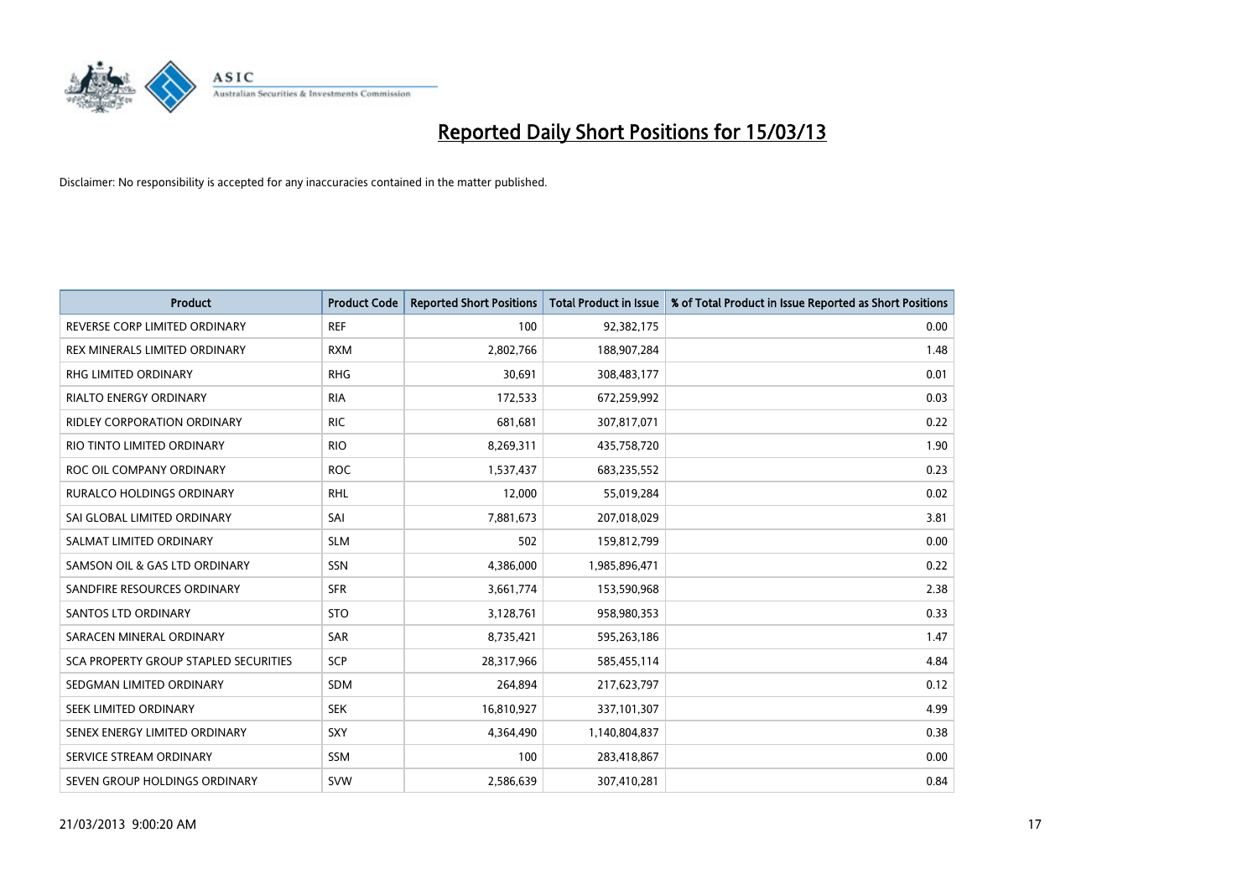

| <b>Product</b>                        | <b>Product Code</b> | <b>Reported Short Positions</b> | <b>Total Product in Issue</b> | % of Total Product in Issue Reported as Short Positions |
|---------------------------------------|---------------------|---------------------------------|-------------------------------|---------------------------------------------------------|
| REVERSE CORP LIMITED ORDINARY         | <b>REF</b>          | 100                             | 92,382,175                    | 0.00                                                    |
| REX MINERALS LIMITED ORDINARY         | <b>RXM</b>          | 2,802,766                       | 188,907,284                   | 1.48                                                    |
| <b>RHG LIMITED ORDINARY</b>           | <b>RHG</b>          | 30,691                          | 308,483,177                   | 0.01                                                    |
| RIALTO ENERGY ORDINARY                | <b>RIA</b>          | 172,533                         | 672,259,992                   | 0.03                                                    |
| <b>RIDLEY CORPORATION ORDINARY</b>    | <b>RIC</b>          | 681,681                         | 307,817,071                   | 0.22                                                    |
| RIO TINTO LIMITED ORDINARY            | <b>RIO</b>          | 8,269,311                       | 435,758,720                   | 1.90                                                    |
| ROC OIL COMPANY ORDINARY              | <b>ROC</b>          | 1,537,437                       | 683,235,552                   | 0.23                                                    |
| <b>RURALCO HOLDINGS ORDINARY</b>      | <b>RHL</b>          | 12,000                          | 55,019,284                    | 0.02                                                    |
| SAI GLOBAL LIMITED ORDINARY           | SAI                 | 7,881,673                       | 207,018,029                   | 3.81                                                    |
| SALMAT LIMITED ORDINARY               | <b>SLM</b>          | 502                             | 159,812,799                   | 0.00                                                    |
| SAMSON OIL & GAS LTD ORDINARY         | SSN                 | 4,386,000                       | 1,985,896,471                 | 0.22                                                    |
| SANDFIRE RESOURCES ORDINARY           | <b>SFR</b>          | 3,661,774                       | 153,590,968                   | 2.38                                                    |
| <b>SANTOS LTD ORDINARY</b>            | <b>STO</b>          | 3,128,761                       | 958,980,353                   | 0.33                                                    |
| SARACEN MINERAL ORDINARY              | SAR                 | 8,735,421                       | 595,263,186                   | 1.47                                                    |
| SCA PROPERTY GROUP STAPLED SECURITIES | SCP                 | 28,317,966                      | 585,455,114                   | 4.84                                                    |
| SEDGMAN LIMITED ORDINARY              | <b>SDM</b>          | 264,894                         | 217,623,797                   | 0.12                                                    |
| SEEK LIMITED ORDINARY                 | <b>SEK</b>          | 16,810,927                      | 337,101,307                   | 4.99                                                    |
| SENEX ENERGY LIMITED ORDINARY         | SXY                 | 4,364,490                       | 1,140,804,837                 | 0.38                                                    |
| SERVICE STREAM ORDINARY               | <b>SSM</b>          | 100                             | 283,418,867                   | 0.00                                                    |
| SEVEN GROUP HOLDINGS ORDINARY         | <b>SVW</b>          | 2,586,639                       | 307,410,281                   | 0.84                                                    |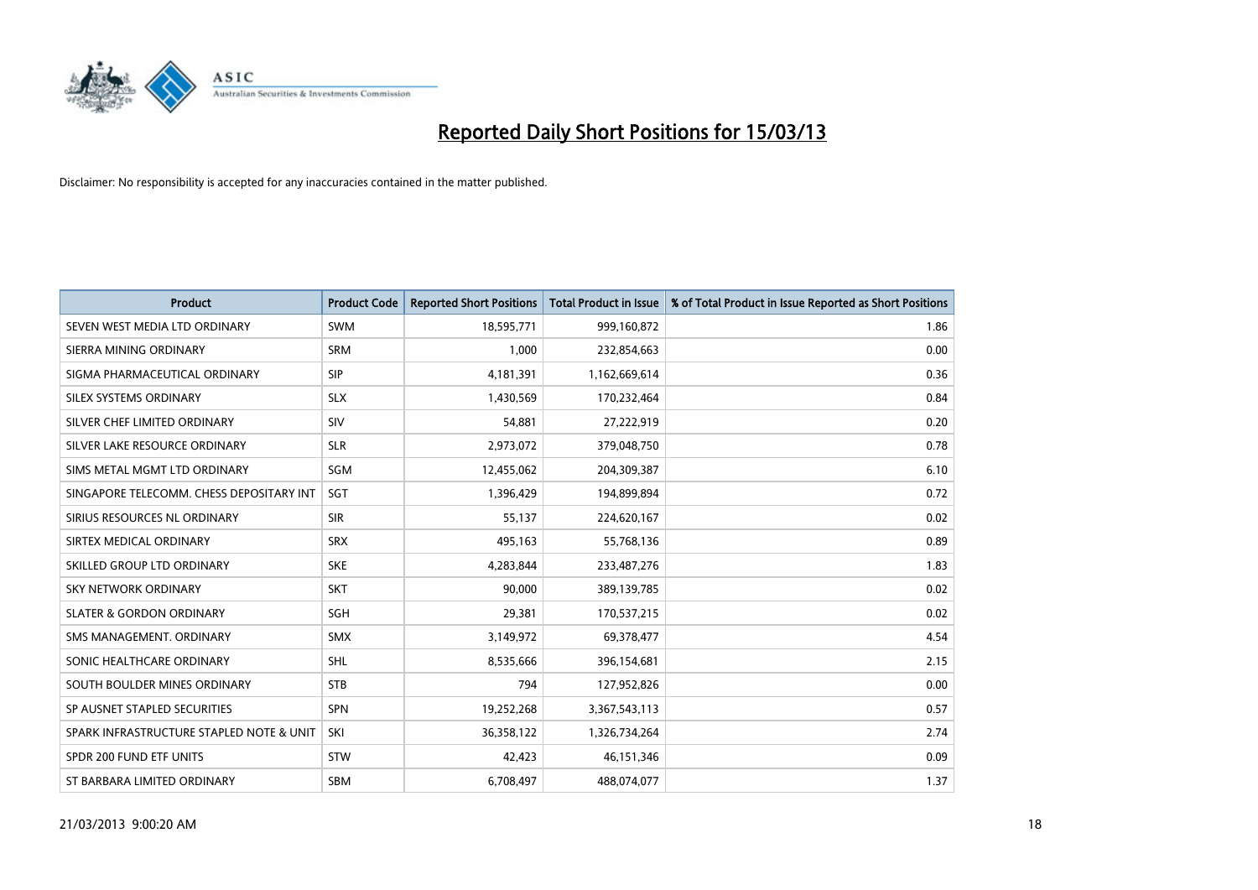

| <b>Product</b>                           | <b>Product Code</b> | <b>Reported Short Positions</b> | <b>Total Product in Issue</b> | % of Total Product in Issue Reported as Short Positions |
|------------------------------------------|---------------------|---------------------------------|-------------------------------|---------------------------------------------------------|
| SEVEN WEST MEDIA LTD ORDINARY            | <b>SWM</b>          | 18,595,771                      | 999,160,872                   | 1.86                                                    |
| SIERRA MINING ORDINARY                   | <b>SRM</b>          | 1,000                           | 232,854,663                   | 0.00                                                    |
| SIGMA PHARMACEUTICAL ORDINARY            | <b>SIP</b>          | 4,181,391                       | 1,162,669,614                 | 0.36                                                    |
| SILEX SYSTEMS ORDINARY                   | <b>SLX</b>          | 1,430,569                       | 170,232,464                   | 0.84                                                    |
| SILVER CHEF LIMITED ORDINARY             | SIV                 | 54,881                          | 27,222,919                    | 0.20                                                    |
| SILVER LAKE RESOURCE ORDINARY            | <b>SLR</b>          | 2,973,072                       | 379,048,750                   | 0.78                                                    |
| SIMS METAL MGMT LTD ORDINARY             | SGM                 | 12,455,062                      | 204,309,387                   | 6.10                                                    |
| SINGAPORE TELECOMM. CHESS DEPOSITARY INT | <b>SGT</b>          | 1,396,429                       | 194,899,894                   | 0.72                                                    |
| SIRIUS RESOURCES NL ORDINARY             | <b>SIR</b>          | 55,137                          | 224,620,167                   | 0.02                                                    |
| SIRTEX MEDICAL ORDINARY                  | <b>SRX</b>          | 495,163                         | 55,768,136                    | 0.89                                                    |
| SKILLED GROUP LTD ORDINARY               | <b>SKE</b>          | 4,283,844                       | 233,487,276                   | 1.83                                                    |
| <b>SKY NETWORK ORDINARY</b>              | <b>SKT</b>          | 90,000                          | 389,139,785                   | 0.02                                                    |
| <b>SLATER &amp; GORDON ORDINARY</b>      | <b>SGH</b>          | 29,381                          | 170,537,215                   | 0.02                                                    |
| SMS MANAGEMENT, ORDINARY                 | <b>SMX</b>          | 3,149,972                       | 69,378,477                    | 4.54                                                    |
| SONIC HEALTHCARE ORDINARY                | <b>SHL</b>          | 8,535,666                       | 396,154,681                   | 2.15                                                    |
| SOUTH BOULDER MINES ORDINARY             | <b>STB</b>          | 794                             | 127,952,826                   | 0.00                                                    |
| SP AUSNET STAPLED SECURITIES             | <b>SPN</b>          | 19,252,268                      | 3,367,543,113                 | 0.57                                                    |
| SPARK INFRASTRUCTURE STAPLED NOTE & UNIT | SKI                 | 36,358,122                      | 1,326,734,264                 | 2.74                                                    |
| SPDR 200 FUND ETF UNITS                  | <b>STW</b>          | 42,423                          | 46,151,346                    | 0.09                                                    |
| ST BARBARA LIMITED ORDINARY              | <b>SBM</b>          | 6,708,497                       | 488,074,077                   | 1.37                                                    |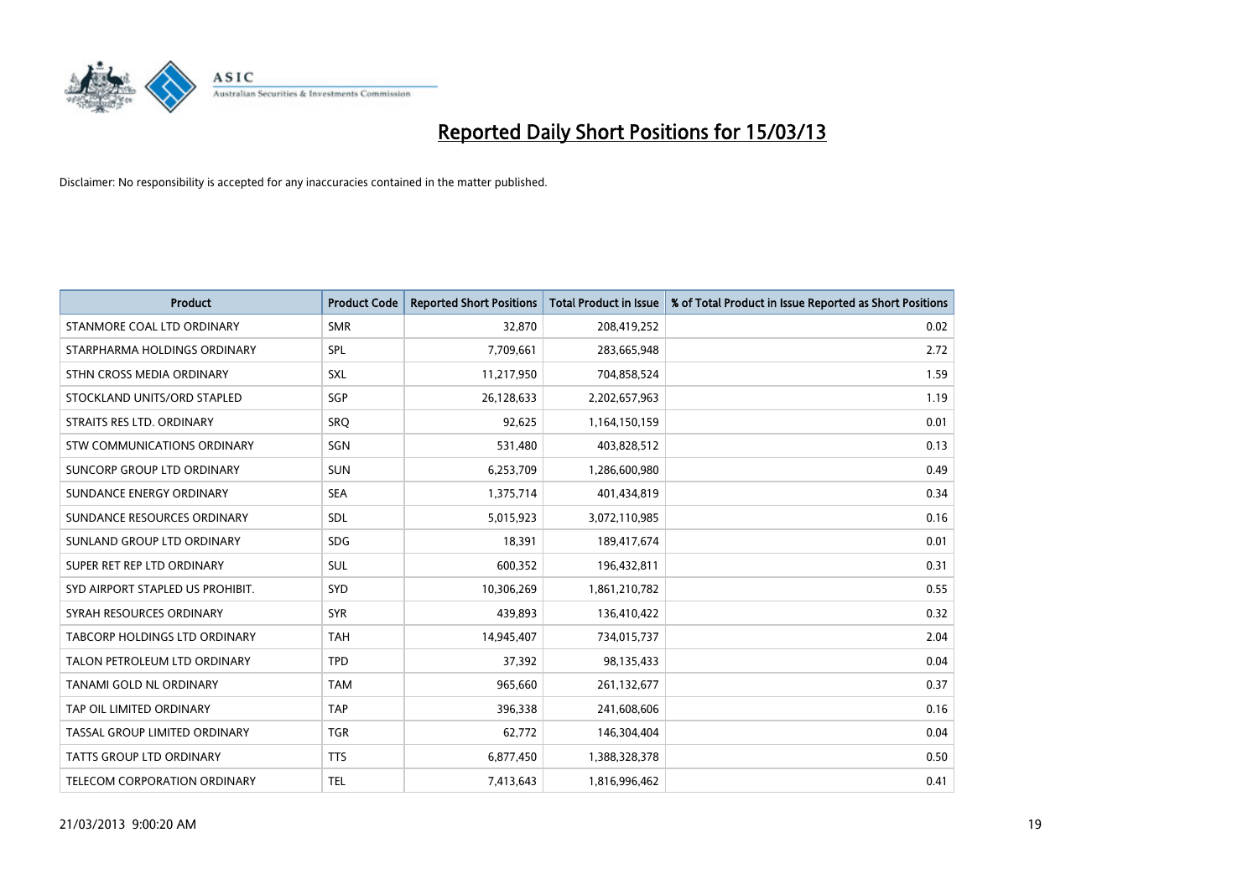

| <b>Product</b>                       | <b>Product Code</b> | <b>Reported Short Positions</b> | <b>Total Product in Issue</b> | % of Total Product in Issue Reported as Short Positions |
|--------------------------------------|---------------------|---------------------------------|-------------------------------|---------------------------------------------------------|
| STANMORE COAL LTD ORDINARY           | <b>SMR</b>          | 32,870                          | 208,419,252                   | 0.02                                                    |
| STARPHARMA HOLDINGS ORDINARY         | <b>SPL</b>          | 7,709,661                       | 283,665,948                   | 2.72                                                    |
| STHN CROSS MEDIA ORDINARY            | <b>SXL</b>          | 11,217,950                      | 704,858,524                   | 1.59                                                    |
| STOCKLAND UNITS/ORD STAPLED          | SGP                 | 26,128,633                      | 2,202,657,963                 | 1.19                                                    |
| STRAITS RES LTD. ORDINARY            | SRO                 | 92,625                          | 1,164,150,159                 | 0.01                                                    |
| STW COMMUNICATIONS ORDINARY          | SGN                 | 531,480                         | 403,828,512                   | 0.13                                                    |
| SUNCORP GROUP LTD ORDINARY           | <b>SUN</b>          | 6,253,709                       | 1,286,600,980                 | 0.49                                                    |
| SUNDANCE ENERGY ORDINARY             | <b>SEA</b>          | 1,375,714                       | 401,434,819                   | 0.34                                                    |
| SUNDANCE RESOURCES ORDINARY          | <b>SDL</b>          | 5,015,923                       | 3,072,110,985                 | 0.16                                                    |
| SUNLAND GROUP LTD ORDINARY           | <b>SDG</b>          | 18,391                          | 189,417,674                   | 0.01                                                    |
| SUPER RET REP LTD ORDINARY           | <b>SUL</b>          | 600,352                         | 196,432,811                   | 0.31                                                    |
| SYD AIRPORT STAPLED US PROHIBIT.     | <b>SYD</b>          | 10,306,269                      | 1,861,210,782                 | 0.55                                                    |
| SYRAH RESOURCES ORDINARY             | <b>SYR</b>          | 439,893                         | 136,410,422                   | 0.32                                                    |
| <b>TABCORP HOLDINGS LTD ORDINARY</b> | <b>TAH</b>          | 14,945,407                      | 734,015,737                   | 2.04                                                    |
| TALON PETROLEUM LTD ORDINARY         | <b>TPD</b>          | 37,392                          | 98,135,433                    | 0.04                                                    |
| TANAMI GOLD NL ORDINARY              | <b>TAM</b>          | 965,660                         | 261,132,677                   | 0.37                                                    |
| TAP OIL LIMITED ORDINARY             | <b>TAP</b>          | 396,338                         | 241,608,606                   | 0.16                                                    |
| TASSAL GROUP LIMITED ORDINARY        | <b>TGR</b>          | 62,772                          | 146,304,404                   | 0.04                                                    |
| <b>TATTS GROUP LTD ORDINARY</b>      | <b>TTS</b>          | 6,877,450                       | 1,388,328,378                 | 0.50                                                    |
| TELECOM CORPORATION ORDINARY         | <b>TEL</b>          | 7,413,643                       | 1,816,996,462                 | 0.41                                                    |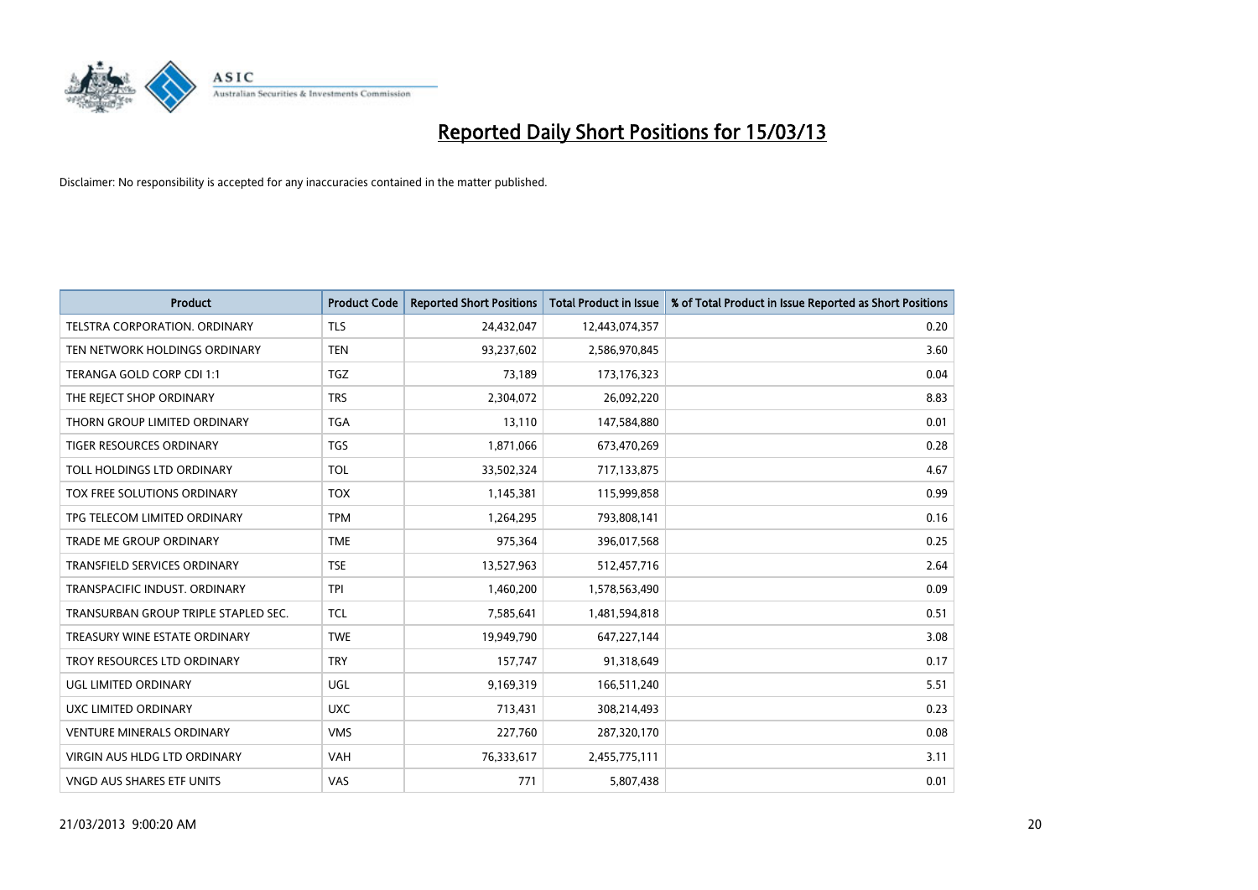

| <b>Product</b>                       | <b>Product Code</b> | <b>Reported Short Positions</b> | <b>Total Product in Issue</b> | % of Total Product in Issue Reported as Short Positions |
|--------------------------------------|---------------------|---------------------------------|-------------------------------|---------------------------------------------------------|
| <b>TELSTRA CORPORATION, ORDINARY</b> | <b>TLS</b>          | 24,432,047                      | 12,443,074,357                | 0.20                                                    |
| TEN NETWORK HOLDINGS ORDINARY        | <b>TEN</b>          | 93,237,602                      | 2,586,970,845                 | 3.60                                                    |
| TERANGA GOLD CORP CDI 1:1            | <b>TGZ</b>          | 73,189                          | 173, 176, 323                 | 0.04                                                    |
| THE REJECT SHOP ORDINARY             | <b>TRS</b>          | 2,304,072                       | 26,092,220                    | 8.83                                                    |
| THORN GROUP LIMITED ORDINARY         | <b>TGA</b>          | 13,110                          | 147,584,880                   | 0.01                                                    |
| TIGER RESOURCES ORDINARY             | <b>TGS</b>          | 1,871,066                       | 673,470,269                   | 0.28                                                    |
| TOLL HOLDINGS LTD ORDINARY           | <b>TOL</b>          | 33,502,324                      | 717,133,875                   | 4.67                                                    |
| TOX FREE SOLUTIONS ORDINARY          | <b>TOX</b>          | 1,145,381                       | 115,999,858                   | 0.99                                                    |
| TPG TELECOM LIMITED ORDINARY         | <b>TPM</b>          | 1,264,295                       | 793,808,141                   | 0.16                                                    |
| <b>TRADE ME GROUP ORDINARY</b>       | <b>TME</b>          | 975,364                         | 396,017,568                   | 0.25                                                    |
| TRANSFIELD SERVICES ORDINARY         | <b>TSE</b>          | 13,527,963                      | 512,457,716                   | 2.64                                                    |
| <b>TRANSPACIFIC INDUST, ORDINARY</b> | <b>TPI</b>          | 1,460,200                       | 1,578,563,490                 | 0.09                                                    |
| TRANSURBAN GROUP TRIPLE STAPLED SEC. | <b>TCL</b>          | 7,585,641                       | 1,481,594,818                 | 0.51                                                    |
| TREASURY WINE ESTATE ORDINARY        | <b>TWE</b>          | 19,949,790                      | 647,227,144                   | 3.08                                                    |
| TROY RESOURCES LTD ORDINARY          | <b>TRY</b>          | 157,747                         | 91,318,649                    | 0.17                                                    |
| UGL LIMITED ORDINARY                 | UGL                 | 9,169,319                       | 166,511,240                   | 5.51                                                    |
| UXC LIMITED ORDINARY                 | <b>UXC</b>          | 713,431                         | 308,214,493                   | 0.23                                                    |
| <b>VENTURE MINERALS ORDINARY</b>     | <b>VMS</b>          | 227,760                         | 287,320,170                   | 0.08                                                    |
| <b>VIRGIN AUS HLDG LTD ORDINARY</b>  | <b>VAH</b>          | 76,333,617                      | 2,455,775,111                 | 3.11                                                    |
| <b>VNGD AUS SHARES ETF UNITS</b>     | <b>VAS</b>          | 771                             | 5,807,438                     | 0.01                                                    |